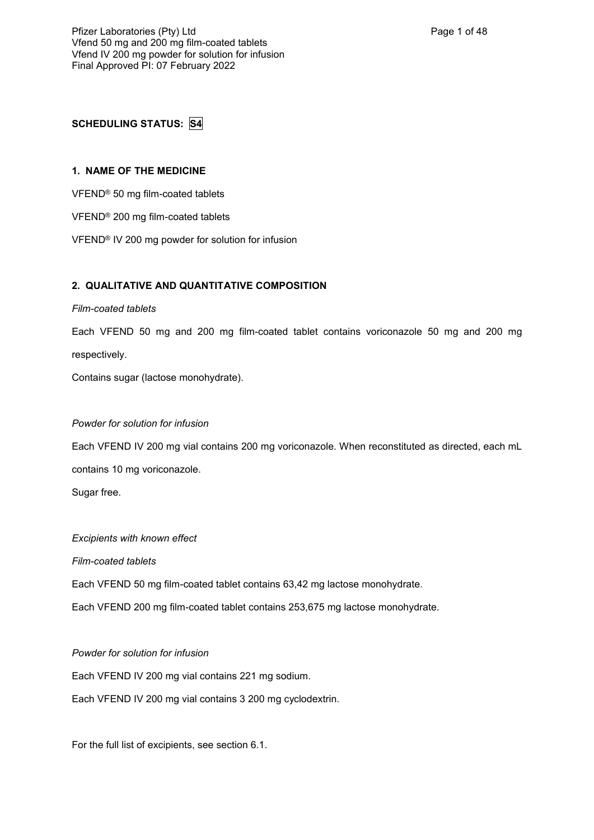# **SCHEDULING STATUS: S4**

# **1. NAME OF THE MEDICINE**

VFEND® 50 mg film-coated tablets

- VFEND® 200 mg film-coated tablets
- VFEND® IV 200 mg powder for solution for infusion

# **2. QUALITATIVE AND QUANTITATIVE COMPOSITION**

## *Film-coated tablets*

Each VFEND 50 mg and 200 mg film-coated tablet contains voriconazole 50 mg and 200 mg respectively.

Contains sugar (lactose monohydrate).

## *Powder for solution for infusion*

Each VFEND IV 200 mg vial contains 200 mg voriconazole. When reconstituted as directed, each mL contains 10 mg voriconazole.

Sugar free.

## *Excipients with known effect*

*Film-coated tablets*

Each VFEND 50 mg film-coated tablet contains 63,42 mg lactose monohydrate.

Each VFEND 200 mg film-coated tablet contains 253,675 mg lactose monohydrate.

## *Powder for solution for infusion*

Each VFEND IV 200 mg vial contains 221 mg sodium.

Each VFEND IV 200 mg vial contains 3 200 mg cyclodextrin.

For the full list of excipients, see section 6.1.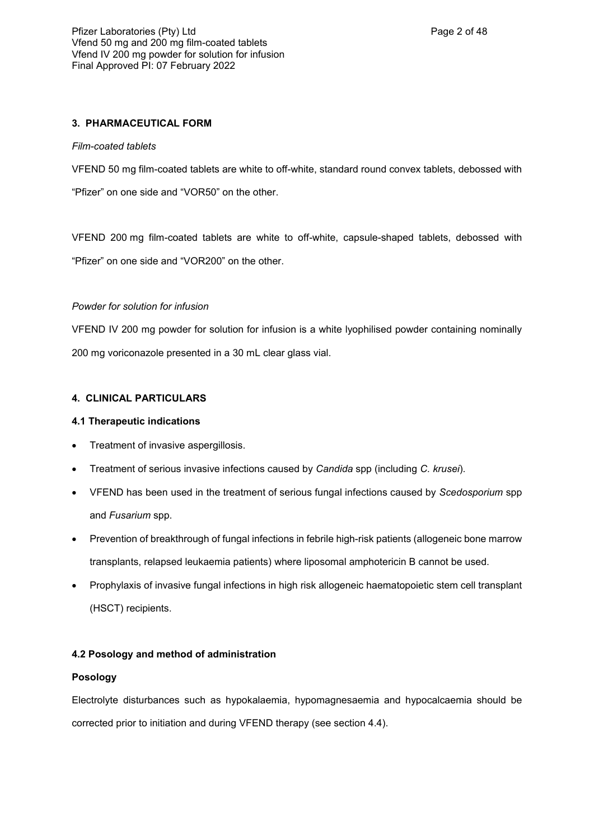# **3. PHARMACEUTICAL FORM**

## *Film-coated tablets*

VFEND 50 mg film-coated tablets are white to off-white, standard round convex tablets, debossed with "Pfizer" on one side and "VOR50" on the other.

VFEND 200 mg film-coated tablets are white to off-white, capsule-shaped tablets, debossed with "Pfizer" on one side and "VOR200" on the other.

## *Powder for solution for infusion*

VFEND IV 200 mg powder for solution for infusion is a white lyophilised powder containing nominally 200 mg voriconazole presented in a 30 mL clear glass vial.

## **4. CLINICAL PARTICULARS**

## **4.1 Therapeutic indications**

- Treatment of invasive aspergillosis.
- Treatment of serious invasive infections caused by *Candida* spp (including *C. krusei*).
- VFEND has been used in the treatment of serious fungal infections caused by *Scedosporium* spp and *Fusarium* spp.
- Prevention of breakthrough of fungal infections in febrile high-risk patients (allogeneic bone marrow transplants, relapsed leukaemia patients) where liposomal amphotericin B cannot be used.
- Prophylaxis of invasive fungal infections in high risk allogeneic haematopoietic stem cell transplant (HSCT) recipients.

## **4.2 Posology and method of administration**

## **Posology**

Electrolyte disturbances such as hypokalaemia, hypomagnesaemia and hypocalcaemia should be corrected prior to initiation and during VFEND therapy (see section 4.4).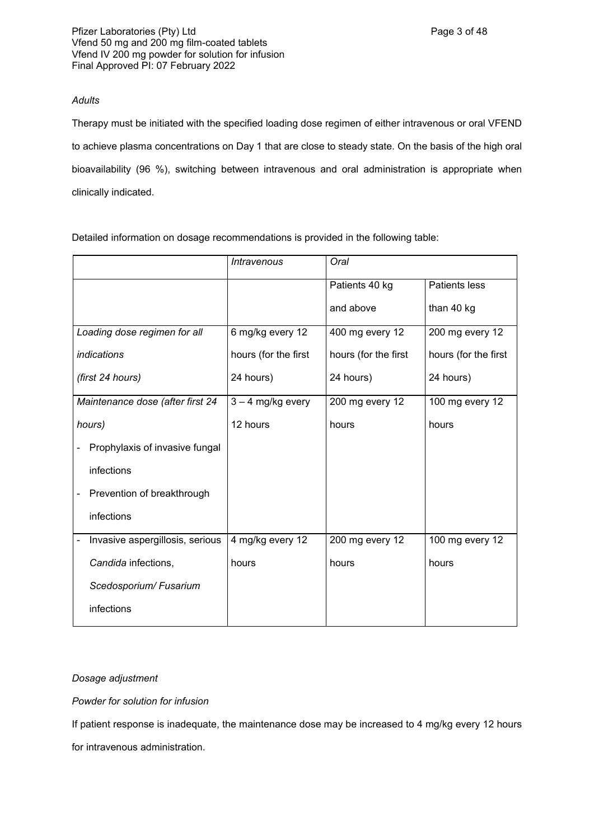## *Adults*

Therapy must be initiated with the specified loading dose regimen of either intravenous or oral VFEND to achieve plasma concentrations on Day 1 that are close to steady state. On the basis of the high oral bioavailability (96 %), switching between intravenous and oral administration is appropriate when clinically indicated.

Detailed information on dosage recommendations is provided in the following table:

|                                  | Intravenous          | Oral                 |                      |
|----------------------------------|----------------------|----------------------|----------------------|
|                                  |                      | Patients 40 kg       | <b>Patients less</b> |
|                                  |                      | and above            | than 40 kg           |
| Loading dose regimen for all     | 6 mg/kg every 12     | 400 mg every 12      | 200 mg every 12      |
| <i>indications</i>               | hours (for the first | hours (for the first | hours (for the first |
| (first 24 hours)                 | 24 hours)            | 24 hours)            | 24 hours)            |
| Maintenance dose (after first 24 | $3 - 4$ mg/kg every  | 200 mg every 12      | 100 mg every 12      |
| hours)                           | 12 hours             | hours                | hours                |
| Prophylaxis of invasive fungal   |                      |                      |                      |
| infections                       |                      |                      |                      |
| Prevention of breakthrough       |                      |                      |                      |
| infections                       |                      |                      |                      |
| Invasive aspergillosis, serious  | 4 mg/kg every 12     | 200 mg every 12      | 100 mg every 12      |
| Candida infections,              | hours                | hours                | hours                |
| Scedosporium/Fusarium            |                      |                      |                      |
| infections                       |                      |                      |                      |

## *Dosage adjustment*

*Powder for solution for infusion*

If patient response is inadequate, the maintenance dose may be increased to 4 mg/kg every 12 hours for intravenous administration.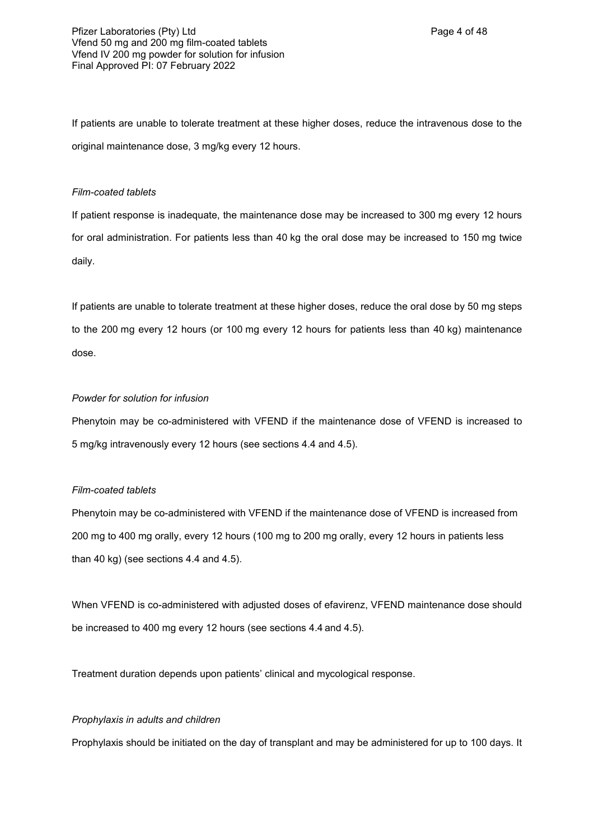If patients are unable to tolerate treatment at these higher doses, reduce the intravenous dose to the original maintenance dose, 3 mg/kg every 12 hours.

## *Film-coated tablets*

If patient response is inadequate, the maintenance dose may be increased to 300 mg every 12 hours for oral administration. For patients less than 40 kg the oral dose may be increased to 150 mg twice daily.

If patients are unable to tolerate treatment at these higher doses, reduce the oral dose by 50 mg steps to the 200 mg every 12 hours (or 100 mg every 12 hours for patients less than 40 kg) maintenance dose.

## *Powder for solution for infusion*

Phenytoin may be co-administered with VFEND if the maintenance dose of VFEND is increased to 5 mg/kg intravenously every 12 hours (see sections 4.4 and 4.5).

## *Film-coated tablets*

Phenytoin may be co-administered with VFEND if the maintenance dose of VFEND is increased from 200 mg to 400 mg orally, every 12 hours (100 mg to 200 mg orally, every 12 hours in patients less than 40 kg) (see sections 4.4 and 4.5).

When VFEND is co-administered with adjusted doses of efavirenz, VFEND maintenance dose should be increased to 400 mg every 12 hours (see sections 4.4 and 4.5).

Treatment duration depends upon patients' clinical and mycological response.

## *Prophylaxis in adults and children*

Prophylaxis should be initiated on the day of transplant and may be administered for up to 100 days. It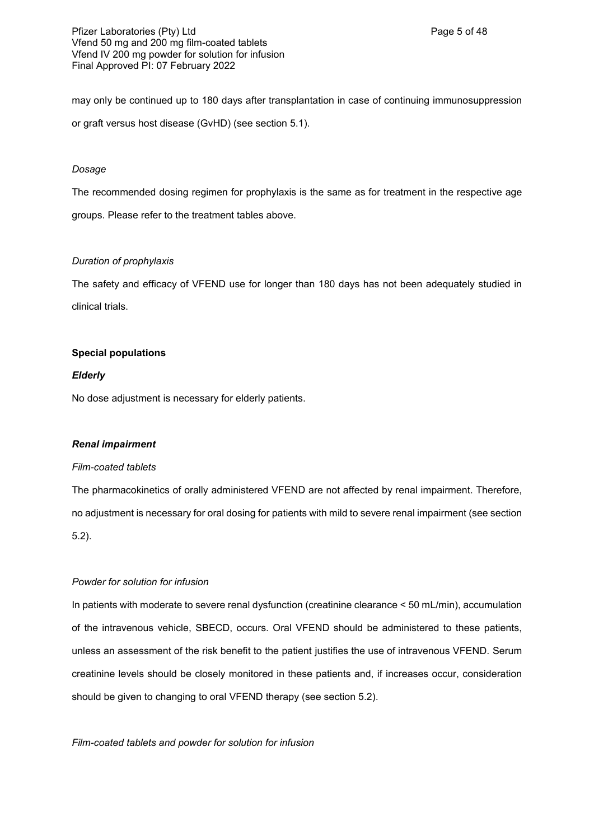Pfizer Laboratories (Pty) Ltd **Philosopheratories** (Pty) Ctd Page 5 of 48 Vfend 50 mg and 200 mg film-coated tablets Vfend IV 200 mg powder for solution for infusion Final Approved PI: 07 February 2022

may only be continued up to 180 days after transplantation in case of continuing immunosuppression or graft versus host disease (GvHD) (see section 5.1).

### *Dosage*

The recommended dosing regimen for prophylaxis is the same as for treatment in the respective age groups. Please refer to the treatment tables above.

## *Duration of prophylaxis*

The safety and efficacy of VFEND use for longer than 180 days has not been adequately studied in clinical trials.

## **Special populations**

## *Elderly*

No dose adjustment is necessary for elderly patients.

#### *Renal impairment*

#### *Film-coated tablets*

The pharmacokinetics of orally administered VFEND are not affected by renal impairment. Therefore, no adjustment is necessary for oral dosing for patients with mild to severe renal impairment (see section 5.2).

#### *Powder for solution for infusion*

In patients with moderate to severe renal dysfunction (creatinine clearance < 50 mL/min), accumulation of the intravenous vehicle, SBECD, occurs. Oral VFEND should be administered to these patients, unless an assessment of the risk benefit to the patient justifies the use of intravenous VFEND. Serum creatinine levels should be closely monitored in these patients and, if increases occur, consideration should be given to changing to oral VFEND therapy (see section 5.2).

## *Film-coated tablets and powder for solution for infusion*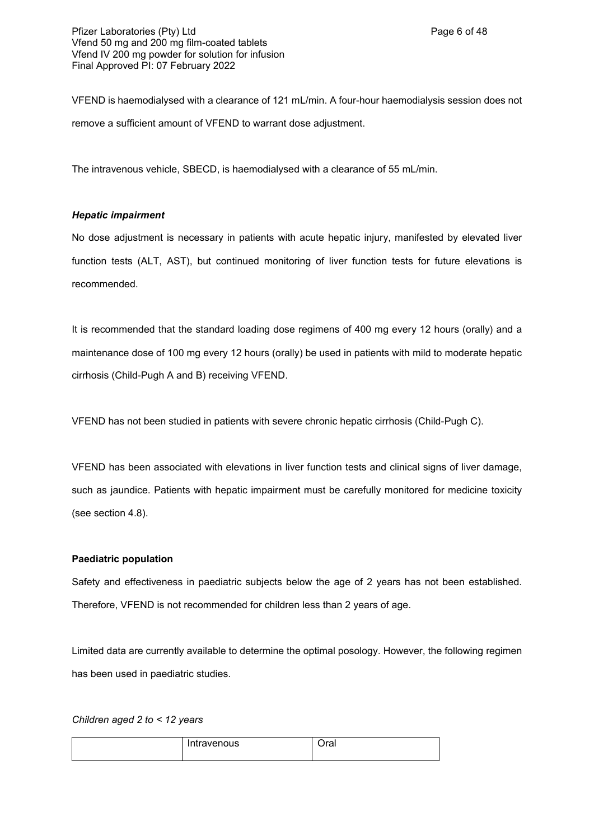VFEND is haemodialysed with a clearance of 121 mL/min. A four-hour haemodialysis session does not remove a sufficient amount of VFEND to warrant dose adjustment.

The intravenous vehicle, SBECD, is haemodialysed with a clearance of 55 mL/min.

## *Hepatic impairment*

No dose adjustment is necessary in patients with acute hepatic injury, manifested by elevated liver function tests (ALT, AST), but continued monitoring of liver function tests for future elevations is recommended.

It is recommended that the standard loading dose regimens of 400 mg every 12 hours (orally) and a maintenance dose of 100 mg every 12 hours (orally) be used in patients with mild to moderate hepatic cirrhosis (Child-Pugh A and B) receiving VFEND.

VFEND has not been studied in patients with severe chronic hepatic cirrhosis (Child-Pugh C).

VFEND has been associated with elevations in liver function tests and clinical signs of liver damage, such as jaundice. Patients with hepatic impairment must be carefully monitored for medicine toxicity (see section 4.8).

## **Paediatric population**

Safety and effectiveness in paediatric subjects below the age of 2 years has not been established. Therefore, VFEND is not recommended for children less than 2 years of age.

Limited data are currently available to determine the optimal posology. However, the following regimen has been used in paediatric studies.

*Children aged 2 to < 12 years*

| Intravenous | 1<br>'ar |
|-------------|----------|
|             |          |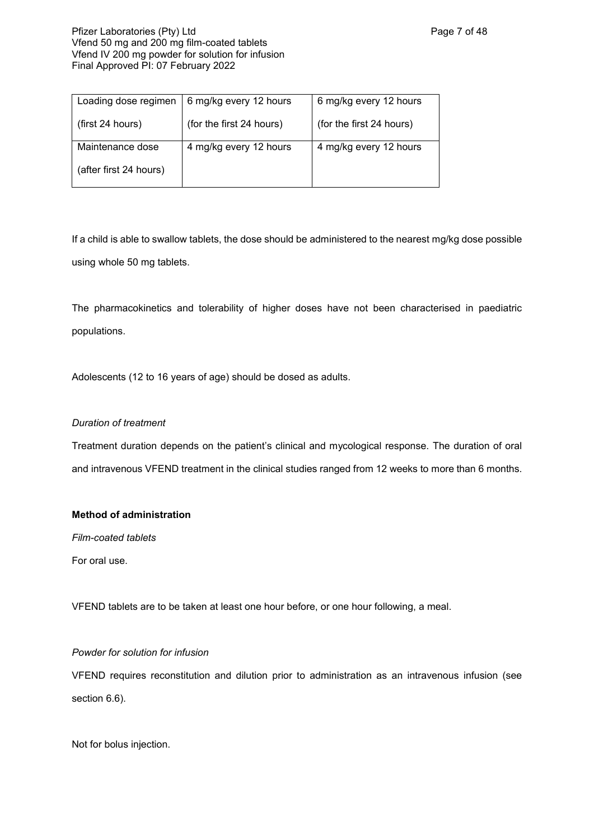## Pfizer Laboratories (Pty) Ltd **Philosophy** Page 7 of 48 Vfend 50 mg and 200 mg film-coated tablets Vfend IV 200 mg powder for solution for infusion Final Approved PI: 07 February 2022

| Loading dose regimen   | 6 mg/kg every 12 hours   | 6 mg/kg every 12 hours   |
|------------------------|--------------------------|--------------------------|
| (first 24 hours)       | (for the first 24 hours) | (for the first 24 hours) |
| Maintenance dose       | 4 mg/kg every 12 hours   | 4 mg/kg every 12 hours   |
| (after first 24 hours) |                          |                          |

If a child is able to swallow tablets, the dose should be administered to the nearest mg/kg dose possible using whole 50 mg tablets.

The pharmacokinetics and tolerability of higher doses have not been characterised in paediatric populations.

Adolescents (12 to 16 years of age) should be dosed as adults.

# *Duration of treatment*

Treatment duration depends on the patient's clinical and mycological response. The duration of oral and intravenous VFEND treatment in the clinical studies ranged from 12 weeks to more than 6 months.

## **Method of administration**

*Film-coated tablets*

For oral use.

VFEND tablets are to be taken at least one hour before, or one hour following, a meal.

## *Powder for solution for infusion*

VFEND requires reconstitution and dilution prior to administration as an intravenous infusion (see section 6.6).

Not for bolus injection.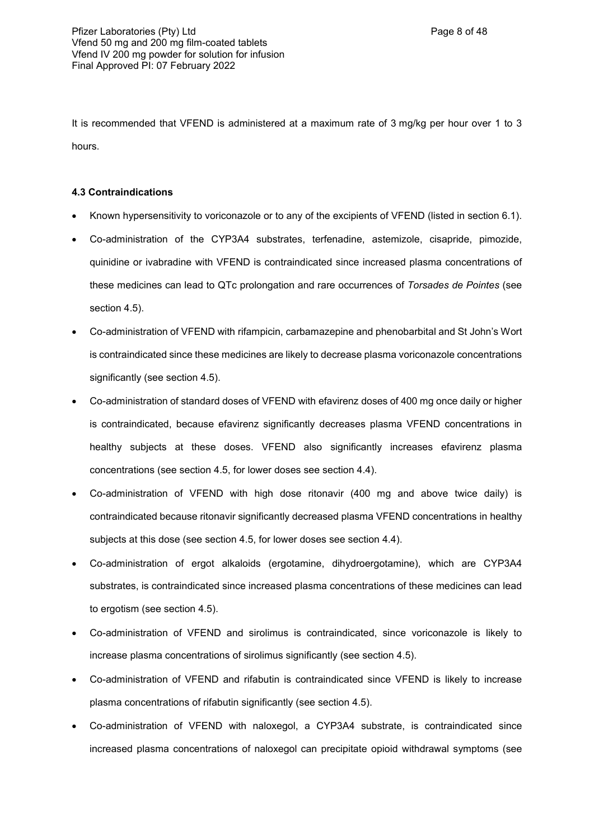It is recommended that VFEND is administered at a maximum rate of 3 mg/kg per hour over 1 to 3 hours.

## **4.3 Contraindications**

- Known hypersensitivity to voriconazole or to any of the excipients of VFEND (listed in section 6.1).
- Co-administration of the CYP3A4 substrates, terfenadine, astemizole, cisapride, pimozide, quinidine or ivabradine with VFEND is contraindicated since increased plasma concentrations of these medicines can lead to QTc prolongation and rare occurrences of *Torsades de Pointes* (see section 4.5).
- Co-administration of VFEND with rifampicin, carbamazepine and phenobarbital and St John's Wort is contraindicated since these medicines are likely to decrease plasma voriconazole concentrations significantly (see section 4.5).
- Co-administration of standard doses of VFEND with efavirenz doses of 400 mg once daily or higher is contraindicated, because efavirenz significantly decreases plasma VFEND concentrations in healthy subjects at these doses. VFEND also significantly increases efavirenz plasma concentrations (see section 4.5, for lower doses see section 4.4).
- Co-administration of VFEND with high dose ritonavir (400 mg and above twice daily) is contraindicated because ritonavir significantly decreased plasma VFEND concentrations in healthy subjects at this dose (see section 4.5, for lower doses see section 4.4).
- Co-administration of ergot alkaloids (ergotamine, dihydroergotamine), which are CYP3A4 substrates, is contraindicated since increased plasma concentrations of these medicines can lead to ergotism (see section 4.5).
- Co-administration of VFEND and sirolimus is contraindicated, since voriconazole is likely to increase plasma concentrations of sirolimus significantly (see section 4.5).
- Co-administration of VFEND and rifabutin is contraindicated since VFEND is likely to increase plasma concentrations of rifabutin significantly (see section 4.5).
- Co-administration of VFEND with naloxegol, a CYP3A4 substrate, is contraindicated since increased plasma concentrations of naloxegol can precipitate opioid withdrawal symptoms (see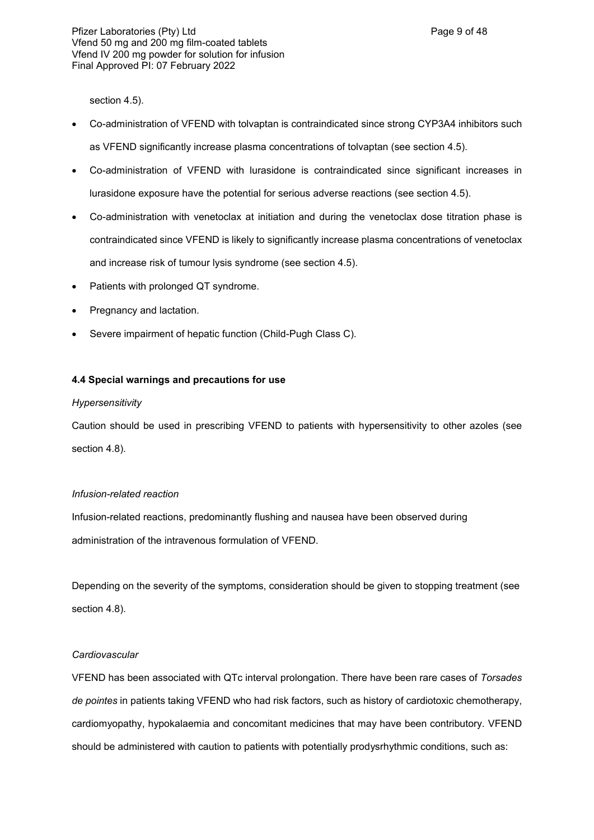section 4.5).

- Co-administration of VFEND with tolvaptan is contraindicated since strong CYP3A4 inhibitors such as VFEND significantly increase plasma concentrations of tolvaptan (see section 4.5).
- Co-administration of VFEND with lurasidone is contraindicated since significant increases in lurasidone exposure have the potential for serious adverse reactions (see section 4.5).
- Co-administration with venetoclax at initiation and during the venetoclax dose titration phase is contraindicated since VFEND is likely to significantly increase plasma concentrations of venetoclax and increase risk of tumour lysis syndrome (see section 4.5).
- Patients with prolonged QT syndrome.
- Pregnancy and lactation.
- Severe impairment of hepatic function (Child-Pugh Class C).

## **4.4 Special warnings and precautions for use**

## *Hypersensitivity*

Caution should be used in prescribing VFEND to patients with hypersensitivity to other azoles (see section 4.8).

## *Infusion-related reaction*

Infusion-related reactions, predominantly flushing and nausea have been observed during administration of the intravenous formulation of VFEND.

Depending on the severity of the symptoms, consideration should be given to stopping treatment (see section 4.8).

## *Cardiovascular*

VFEND has been associated with QTc interval prolongation. There have been rare cases of *Torsades de pointes* in patients taking VFEND who had risk factors, such as history of cardiotoxic chemotherapy, cardiomyopathy, hypokalaemia and concomitant medicines that may have been contributory. VFEND should be administered with caution to patients with potentially prodysrhythmic conditions, such as: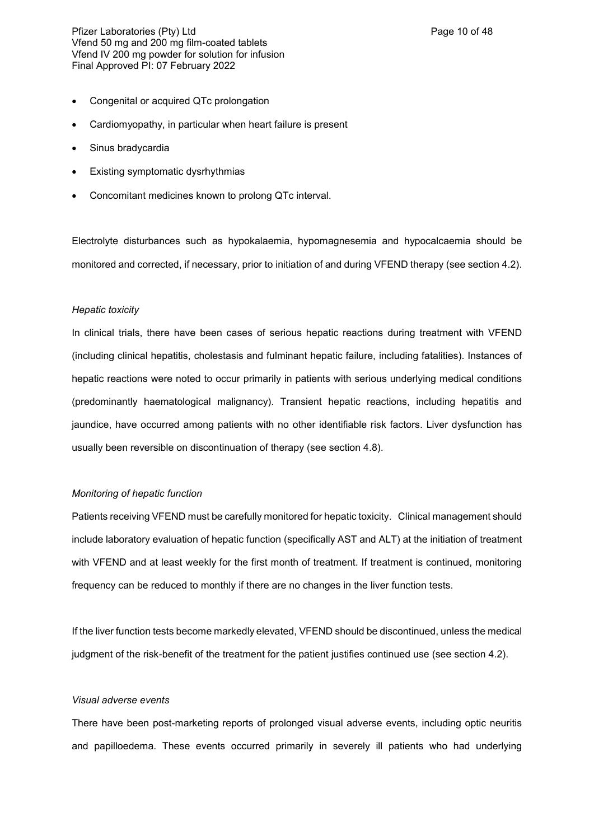Pfizer Laboratories (Pty) Ltd **Philosopheratories** (Pty) Ltd **Page 10 of 48** Vfend 50 mg and 200 mg film-coated tablets Vfend IV 200 mg powder for solution for infusion Final Approved PI: 07 February 2022

- Congenital or acquired QTc prolongation
- Cardiomyopathy, in particular when heart failure is present
- Sinus bradycardia
- Existing symptomatic dysrhythmias
- Concomitant medicines known to prolong QTc interval.

Electrolyte disturbances such as hypokalaemia, hypomagnesemia and hypocalcaemia should be monitored and corrected, if necessary, prior to initiation of and during VFEND therapy (see section 4.2).

#### *Hepatic toxicity*

In clinical trials, there have been cases of serious hepatic reactions during treatment with VFEND (including clinical hepatitis, cholestasis and fulminant hepatic failure, including fatalities). Instances of hepatic reactions were noted to occur primarily in patients with serious underlying medical conditions (predominantly haematological malignancy). Transient hepatic reactions, including hepatitis and jaundice, have occurred among patients with no other identifiable risk factors. Liver dysfunction has usually been reversible on discontinuation of therapy (see section 4.8).

#### *Monitoring of hepatic function*

Patients receiving VFEND must be carefully monitored for hepatic toxicity. Clinical management should include laboratory evaluation of hepatic function (specifically AST and ALT) at the initiation of treatment with VFEND and at least weekly for the first month of treatment. If treatment is continued, monitoring frequency can be reduced to monthly if there are no changes in the liver function tests.

If the liver function tests become markedly elevated, VFEND should be discontinued, unless the medical judgment of the risk-benefit of the treatment for the patient justifies continued use (see section 4.2).

#### *Visual adverse events*

There have been post-marketing reports of prolonged visual adverse events, including optic neuritis and papilloedema. These events occurred primarily in severely ill patients who had underlying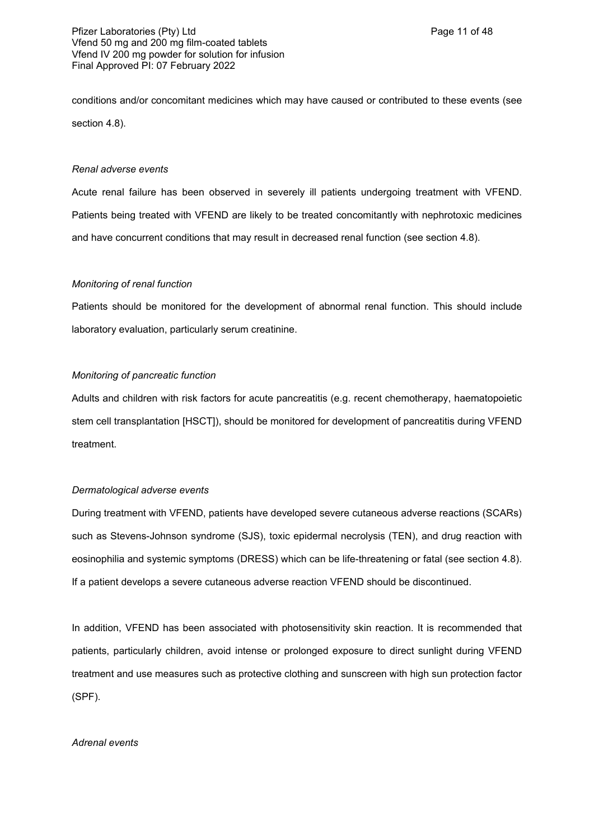conditions and/or concomitant medicines which may have caused or contributed to these events (see section 4.8).

## *Renal adverse events*

Acute renal failure has been observed in severely ill patients undergoing treatment with VFEND. Patients being treated with VFEND are likely to be treated concomitantly with nephrotoxic medicines and have concurrent conditions that may result in decreased renal function (see section 4.8).

### *Monitoring of renal function*

Patients should be monitored for the development of abnormal renal function. This should include laboratory evaluation, particularly serum creatinine.

### *Monitoring of pancreatic function*

Adults and children with risk factors for acute pancreatitis (e.g. recent chemotherapy, haematopoietic stem cell transplantation [HSCT]), should be monitored for development of pancreatitis during VFEND treatment.

## *Dermatological adverse events*

During treatment with VFEND, patients have developed severe cutaneous adverse reactions (SCARs) such as Stevens-Johnson syndrome (SJS), toxic epidermal necrolysis (TEN), and drug reaction with eosinophilia and systemic symptoms (DRESS) which can be life-threatening or fatal (see section 4.8). If a patient develops a severe cutaneous adverse reaction VFEND should be discontinued.

In addition, VFEND has been associated with photosensitivity skin reaction. It is recommended that patients, particularly children, avoid intense or prolonged exposure to direct sunlight during VFEND treatment and use measures such as protective clothing and sunscreen with high sun protection factor (SPF).

## *Adrenal events*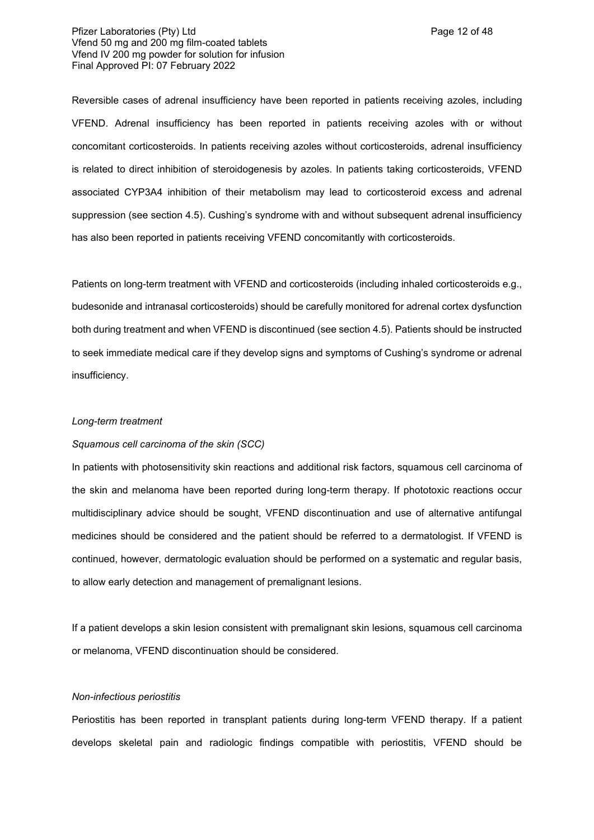## Pfizer Laboratories (Pty) Ltd **Philosopheratories** (Pty) Ltd **Page 12 of 48** Vfend 50 mg and 200 mg film-coated tablets Vfend IV 200 mg powder for solution for infusion Final Approved PI: 07 February 2022

Reversible cases of adrenal insufficiency have been reported in patients receiving azoles, including VFEND. Adrenal insufficiency has been reported in patients receiving azoles with or without concomitant corticosteroids. In patients receiving azoles without corticosteroids, adrenal insufficiency is related to direct inhibition of steroidogenesis by azoles. In patients taking corticosteroids, VFEND associated CYP3A4 inhibition of their metabolism may lead to corticosteroid excess and adrenal suppression (see section 4.5). Cushing's syndrome with and without subsequent adrenal insufficiency has also been reported in patients receiving VFEND concomitantly with corticosteroids.

Patients on long-term treatment with VFEND and corticosteroids (including inhaled corticosteroids e.g., budesonide and intranasal corticosteroids) should be carefully monitored for adrenal cortex dysfunction both during treatment and when VFEND is discontinued (see section 4.5). Patients should be instructed to seek immediate medical care if they develop signs and symptoms of Cushing's syndrome or adrenal insufficiency.

#### *Long-term treatment*

#### *Squamous cell carcinoma of the skin (SCC)*

In patients with photosensitivity skin reactions and additional risk factors, squamous cell carcinoma of the skin and melanoma have been reported during long-term therapy. If phototoxic reactions occur multidisciplinary advice should be sought, VFEND discontinuation and use of alternative antifungal medicines should be considered and the patient should be referred to a dermatologist. If VFEND is continued, however, dermatologic evaluation should be performed on a systematic and regular basis, to allow early detection and management of premalignant lesions.

If a patient develops a skin lesion consistent with premalignant skin lesions, squamous cell carcinoma or melanoma, VFEND discontinuation should be considered.

#### *Non-infectious periostitis*

Periostitis has been reported in transplant patients during long-term VFEND therapy. If a patient develops skeletal pain and radiologic findings compatible with periostitis, VFEND should be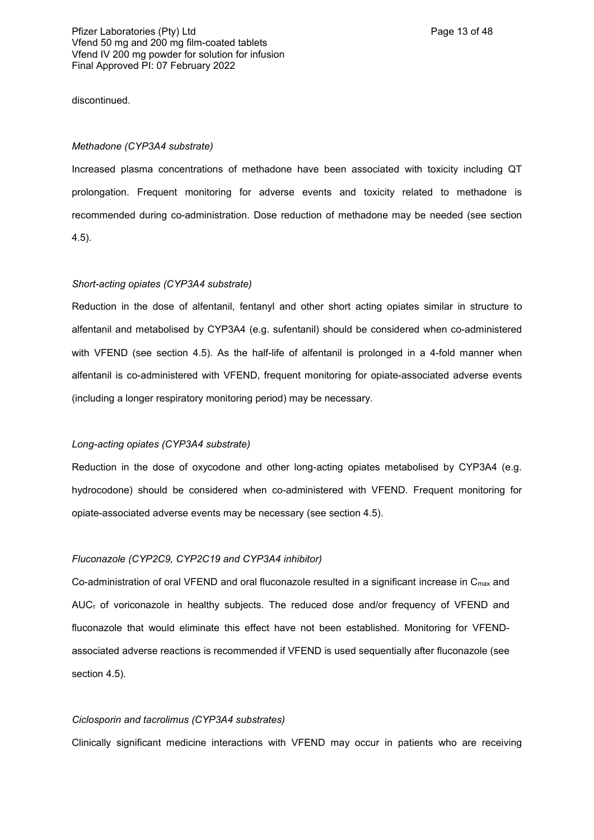discontinued.

#### *Methadone (CYP3A4 substrate)*

Increased plasma concentrations of methadone have been associated with toxicity including QT prolongation. Frequent monitoring for adverse events and toxicity related to methadone is recommended during co-administration. Dose reduction of methadone may be needed (see section 4.5).

### *Short-acting opiates (CYP3A4 substrate)*

Reduction in the dose of alfentanil, fentanyl and other short acting opiates similar in structure to alfentanil and metabolised by CYP3A4 (e.g. sufentanil) should be considered when co-administered with VFEND (see section 4.5). As the half-life of alfentanil is prolonged in a 4-fold manner when alfentanil is co-administered with VFEND, frequent monitoring for opiate-associated adverse events (including a longer respiratory monitoring period) may be necessary.

#### *Long-acting opiates (CYP3A4 substrate)*

Reduction in the dose of oxycodone and other long-acting opiates metabolised by CYP3A4 (e.g. hydrocodone) should be considered when co-administered with VFEND. Frequent monitoring for opiate-associated adverse events may be necessary (see section 4.5).

#### *Fluconazole (CYP2C9, CYP2C19 and CYP3A4 inhibitor)*

Co-administration of oral VFEND and oral fluconazole resulted in a significant increase in C<sub>max</sub> and  $AUC<sub>T</sub>$  of voriconazole in healthy subjects. The reduced dose and/or frequency of VFEND and fluconazole that would eliminate this effect have not been established. Monitoring for VFENDassociated adverse reactions is recommended if VFEND is used sequentially after fluconazole (see section 4.5).

#### *Ciclosporin and tacrolimus (CYP3A4 substrates)*

Clinically significant medicine interactions with VFEND may occur in patients who are receiving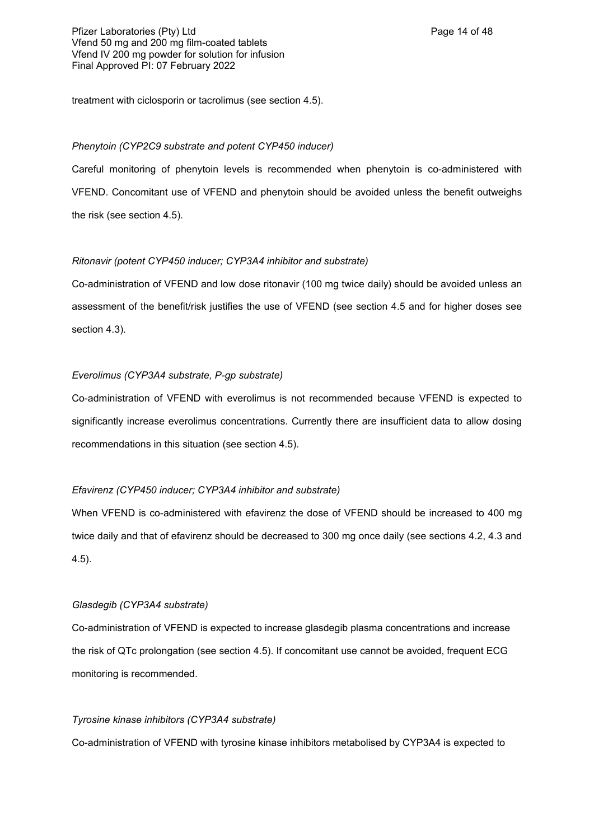treatment with ciclosporin or tacrolimus (see section 4.5).

## *Phenytoin (CYP2C9 substrate and potent CYP450 inducer)*

Careful monitoring of phenytoin levels is recommended when phenytoin is co-administered with VFEND. Concomitant use of VFEND and phenytoin should be avoided unless the benefit outweighs the risk (see section 4.5).

## *Ritonavir (potent CYP450 inducer; CYP3A4 inhibitor and substrate)*

Co-administration of VFEND and low dose ritonavir (100 mg twice daily) should be avoided unless an assessment of the benefit/risk justifies the use of VFEND (see section 4.5 and for higher doses see section 4.3).

## *Everolimus (CYP3A4 substrate, P-gp substrate)*

Co-administration of VFEND with everolimus is not recommended because VFEND is expected to significantly increase everolimus concentrations. Currently there are insufficient data to allow dosing recommendations in this situation (see section 4.5).

## *Efavirenz (CYP450 inducer; CYP3A4 inhibitor and substrate)*

When VFEND is co-administered with efavirenz the dose of VFEND should be increased to 400 mg twice daily and that of efavirenz should be decreased to 300 mg once daily (see sections 4.2, 4.3 and 4.5).

## *Glasdegib (CYP3A4 substrate)*

Co-administration of VFEND is expected to increase glasdegib plasma concentrations and increase the risk of QTc prolongation (see section 4.5). If concomitant use cannot be avoided, frequent ECG monitoring is recommended.

## *Tyrosine kinase inhibitors (CYP3A4 substrate)*

Co-administration of VFEND with tyrosine kinase inhibitors metabolised by CYP3A4 is expected to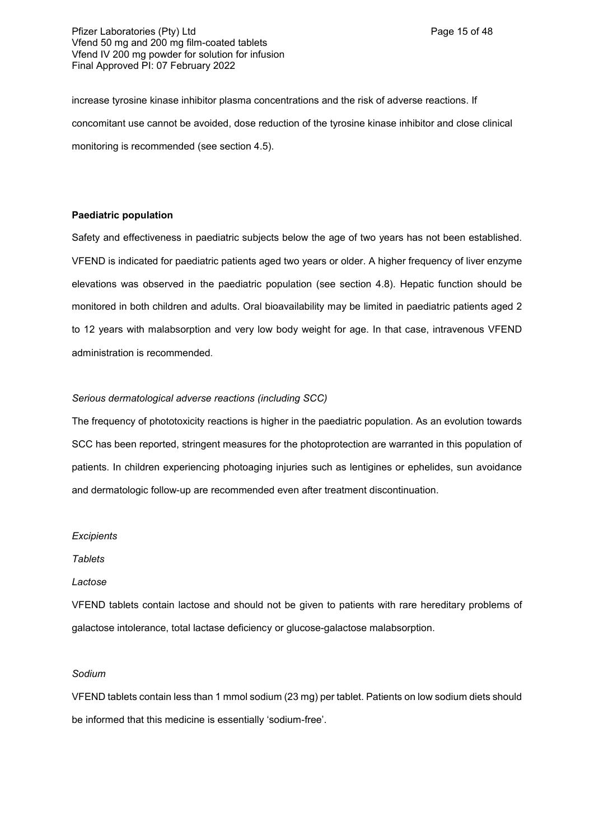Pfizer Laboratories (Pty) Ltd **Philosopheratories** (Pty) Ltd **Page 15 of 48** Vfend 50 mg and 200 mg film-coated tablets Vfend IV 200 mg powder for solution for infusion Final Approved PI: 07 February 2022

increase tyrosine kinase inhibitor plasma concentrations and the risk of adverse reactions. If concomitant use cannot be avoided, dose reduction of the tyrosine kinase inhibitor and close clinical monitoring is recommended (see section 4.5).

### **Paediatric population**

Safety and effectiveness in paediatric subjects below the age of two years has not been established. VFEND is indicated for paediatric patients aged two years or older. A higher frequency of liver enzyme elevations was observed in the paediatric population (see section 4.8). Hepatic function should be monitored in both children and adults. Oral bioavailability may be limited in paediatric patients aged 2 to 12 years with malabsorption and very low body weight for age. In that case, intravenous VFEND administration is recommended.

### *Serious dermatological adverse reactions (including SCC)*

The frequency of phototoxicity reactions is higher in the paediatric population. As an evolution towards SCC has been reported, stringent measures for the photoprotection are warranted in this population of patients. In children experiencing photoaging injuries such as lentigines or ephelides, sun avoidance and dermatologic follow-up are recommended even after treatment discontinuation.

#### *Excipients*

*Tablets*

## *Lactose*

VFEND tablets contain lactose and should not be given to patients with rare hereditary problems of galactose intolerance, total lactase deficiency or glucose-galactose malabsorption.

#### *Sodium*

VFEND tablets contain less than 1 mmol sodium (23 mg) per tablet. Patients on low sodium diets should be informed that this medicine is essentially 'sodium-free'.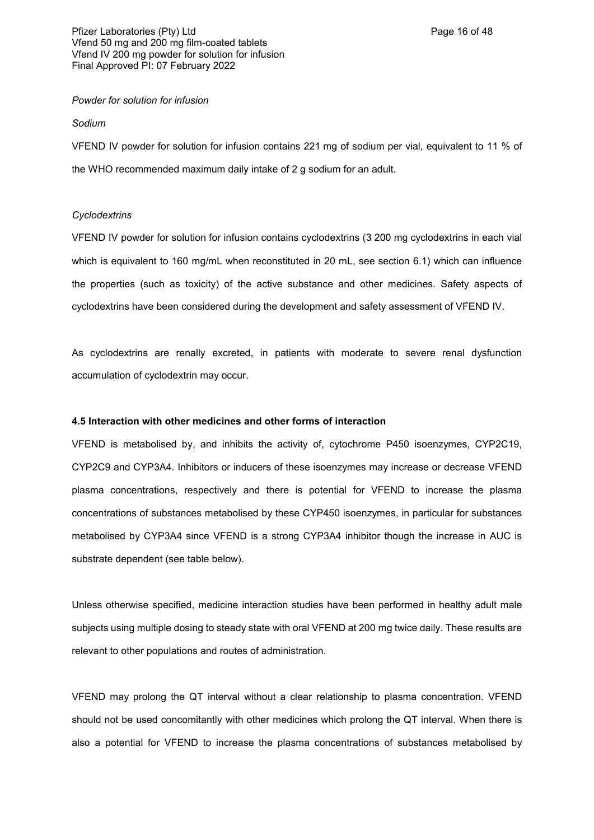#### *Powder for solution for infusion*

#### *Sodium*

VFEND IV powder for solution for infusion contains 221 mg of sodium per vial, equivalent to 11 % of the WHO recommended maximum daily intake of 2 g sodium for an adult.

### *Cyclodextrins*

VFEND IV powder for solution for infusion contains cyclodextrins (3 200 mg cyclodextrins in each vial which is equivalent to 160 mg/mL when reconstituted in 20 mL, see section 6.1) which can influence the properties (such as toxicity) of the active substance and other medicines. Safety aspects of cyclodextrins have been considered during the development and safety assessment of VFEND IV.

As cyclodextrins are renally excreted, in patients with moderate to severe renal dysfunction accumulation of cyclodextrin may occur.

#### **4.5 Interaction with other medicines and other forms of interaction**

VFEND is metabolised by, and inhibits the activity of, cytochrome P450 isoenzymes, CYP2C19, CYP2C9 and CYP3A4. Inhibitors or inducers of these isoenzymes may increase or decrease VFEND plasma concentrations, respectively and there is potential for VFEND to increase the plasma concentrations of substances metabolised by these CYP450 isoenzymes, in particular for substances metabolised by CYP3A4 since VFEND is a strong CYP3A4 inhibitor though the increase in AUC is substrate dependent (see table below).

Unless otherwise specified, medicine interaction studies have been performed in healthy adult male subjects using multiple dosing to steady state with oral VFEND at 200 mg twice daily. These results are relevant to other populations and routes of administration.

VFEND may prolong the QT interval without a clear relationship to plasma concentration. VFEND should not be used concomitantly with other medicines which prolong the QT interval. When there is also a potential for VFEND to increase the plasma concentrations of substances metabolised by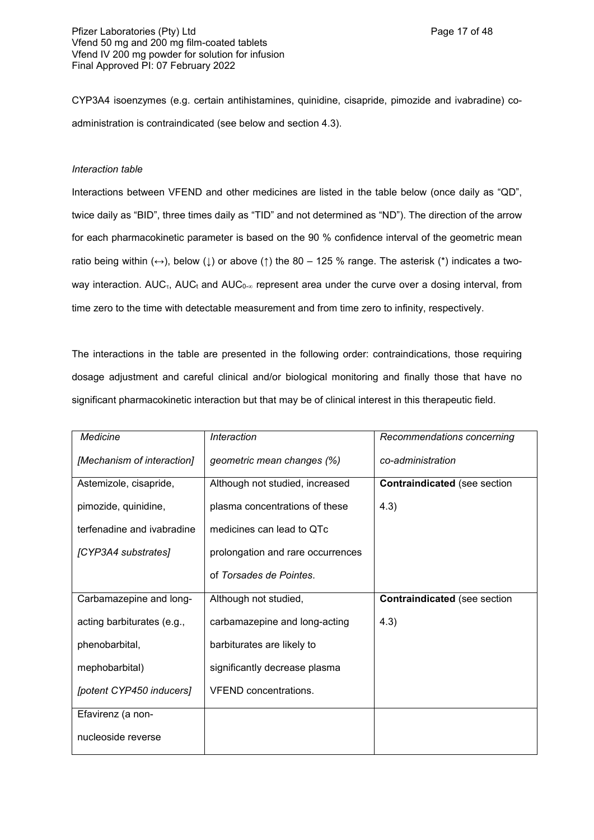CYP3A4 isoenzymes (e.g. certain antihistamines, quinidine, cisapride, pimozide and ivabradine) coadministration is contraindicated (see below and section 4.3).

## *Interaction table*

Interactions between VFEND and other medicines are listed in the table below (once daily as "QD", twice daily as "BID", three times daily as "TID" and not determined as "ND"). The direction of the arrow for each pharmacokinetic parameter is based on the 90 % confidence interval of the geometric mean ratio being within  $(\leftrightarrow)$ , below ( $\downarrow$ ) or above ( $\uparrow$ ) the 80 – 125 % range. The asterisk (\*) indicates a twoway interaction. AUC<sub>t</sub>, AUC<sub>t</sub> and AUC<sub>0- $\infty$ </sub> represent area under the curve over a dosing interval, from time zero to the time with detectable measurement and from time zero to infinity, respectively.

The interactions in the table are presented in the following order: contraindications, those requiring dosage adjustment and careful clinical and/or biological monitoring and finally those that have no significant pharmacokinetic interaction but that may be of clinical interest in this therapeutic field.

| Medicine                   | Interaction                       | Recommendations concerning          |
|----------------------------|-----------------------------------|-------------------------------------|
| [Mechanism of interaction] | geometric mean changes (%)        | co-administration                   |
| Astemizole, cisapride,     | Although not studied, increased   | <b>Contraindicated (see section</b> |
| pimozide, quinidine,       | plasma concentrations of these    | 4.3)                                |
| terfenadine and ivabradine | medicines can lead to QTc         |                                     |
| [CYP3A4 substrates]        | prolongation and rare occurrences |                                     |
|                            | of Torsades de Pointes.           |                                     |
| Carbamazepine and long-    | Although not studied,             | <b>Contraindicated (see section</b> |
| acting barbiturates (e.g., | carbamazepine and long-acting     | 4.3)                                |
| phenobarbital,             | barbiturates are likely to        |                                     |
| mephobarbital)             | significantly decrease plasma     |                                     |
| [potent CYP450 inducers]   | <b>VFEND</b> concentrations.      |                                     |
| Efavirenz (a non-          |                                   |                                     |
| nucleoside reverse         |                                   |                                     |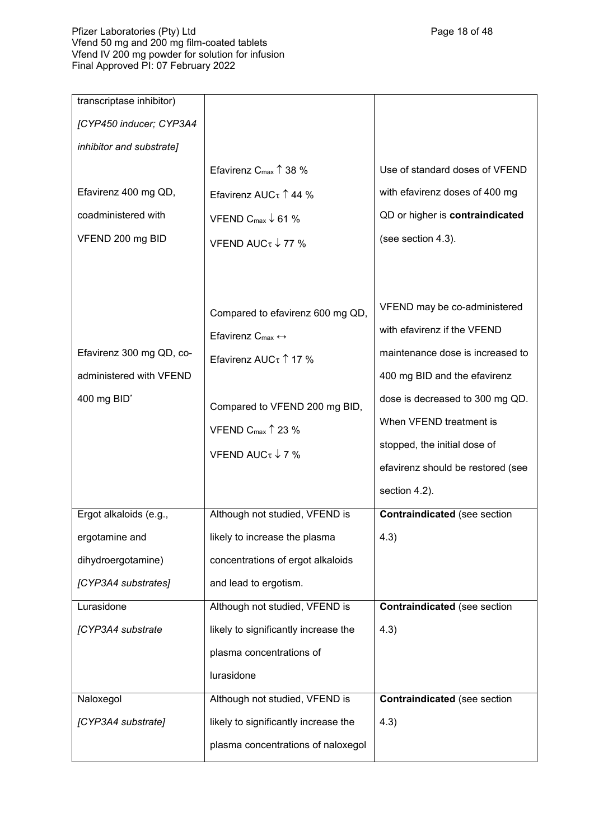## Pfizer Laboratories (Pty) Ltd Page 18 of 48 of 48 of 48 of 48 of 48 of 48 of 48 of 48 of 48 of 48 of 48 of 48 o Vfend 50 mg and 200 mg film-coated tablets Vfend IV 200 mg powder for solution for infusion Final Approved PI: 07 February 2022

| transcriptase inhibitor)                                                       |                                                                                                                                                                                                                             |                                                                                                                                                                                                                                                                                     |
|--------------------------------------------------------------------------------|-----------------------------------------------------------------------------------------------------------------------------------------------------------------------------------------------------------------------------|-------------------------------------------------------------------------------------------------------------------------------------------------------------------------------------------------------------------------------------------------------------------------------------|
| [CYP450 inducer; CYP3A4                                                        |                                                                                                                                                                                                                             |                                                                                                                                                                                                                                                                                     |
| inhibitor and substrate]                                                       |                                                                                                                                                                                                                             |                                                                                                                                                                                                                                                                                     |
|                                                                                | Efavirenz $C_{\text{max}} \uparrow 38 \%$                                                                                                                                                                                   | Use of standard doses of VFEND                                                                                                                                                                                                                                                      |
| Efavirenz 400 mg QD,                                                           | Efavirenz AUC $\tau$ 144 %                                                                                                                                                                                                  | with efavirenz doses of 400 mg                                                                                                                                                                                                                                                      |
| coadministered with                                                            | VFEND C <sub>max</sub> $\downarrow$ 61 %                                                                                                                                                                                    | QD or higher is contraindicated                                                                                                                                                                                                                                                     |
| VFEND 200 mg BID                                                               | VFEND AUC $\tau$ $\downarrow$ 77 %                                                                                                                                                                                          | (see section 4.3).                                                                                                                                                                                                                                                                  |
| Efavirenz 300 mg QD, co-<br>administered with VFEND<br>400 mg BID <sup>*</sup> | Compared to efavirenz 600 mg QD,<br>Efavirenz $C_{\text{max}} \leftrightarrow$<br>Efavirenz AUC $\tau$ 17 %<br>Compared to VFEND 200 mg BID,<br>VFEND C <sub>max</sub> $\uparrow$ 23 %<br>VFEND AUC $\tau$ $\downarrow$ 7 % | VFEND may be co-administered<br>with efavirenz if the VFEND<br>maintenance dose is increased to<br>400 mg BID and the efavirenz<br>dose is decreased to 300 mg QD.<br>When VFEND treatment is<br>stopped, the initial dose of<br>efavirenz should be restored (see<br>section 4.2). |
| Ergot alkaloids (e.g.,                                                         | Although not studied, VFEND is                                                                                                                                                                                              | <b>Contraindicated (see section</b>                                                                                                                                                                                                                                                 |
| ergotamine and                                                                 | likely to increase the plasma                                                                                                                                                                                               | 4.3)                                                                                                                                                                                                                                                                                |
| dihydroergotamine)                                                             | concentrations of ergot alkaloids                                                                                                                                                                                           |                                                                                                                                                                                                                                                                                     |
| [CYP3A4 substrates]                                                            | and lead to ergotism.                                                                                                                                                                                                       |                                                                                                                                                                                                                                                                                     |
| Lurasidone                                                                     | Although not studied, VFEND is                                                                                                                                                                                              | <b>Contraindicated</b> (see section                                                                                                                                                                                                                                                 |
| [CYP3A4 substrate                                                              | likely to significantly increase the                                                                                                                                                                                        | 4.3)                                                                                                                                                                                                                                                                                |
|                                                                                | plasma concentrations of                                                                                                                                                                                                    |                                                                                                                                                                                                                                                                                     |
|                                                                                | lurasidone                                                                                                                                                                                                                  |                                                                                                                                                                                                                                                                                     |
| Naloxegol                                                                      | Although not studied, VFEND is                                                                                                                                                                                              | <b>Contraindicated</b> (see section                                                                                                                                                                                                                                                 |
| [CYP3A4 substrate]                                                             | likely to significantly increase the                                                                                                                                                                                        | 4.3)                                                                                                                                                                                                                                                                                |
|                                                                                | plasma concentrations of naloxegol                                                                                                                                                                                          |                                                                                                                                                                                                                                                                                     |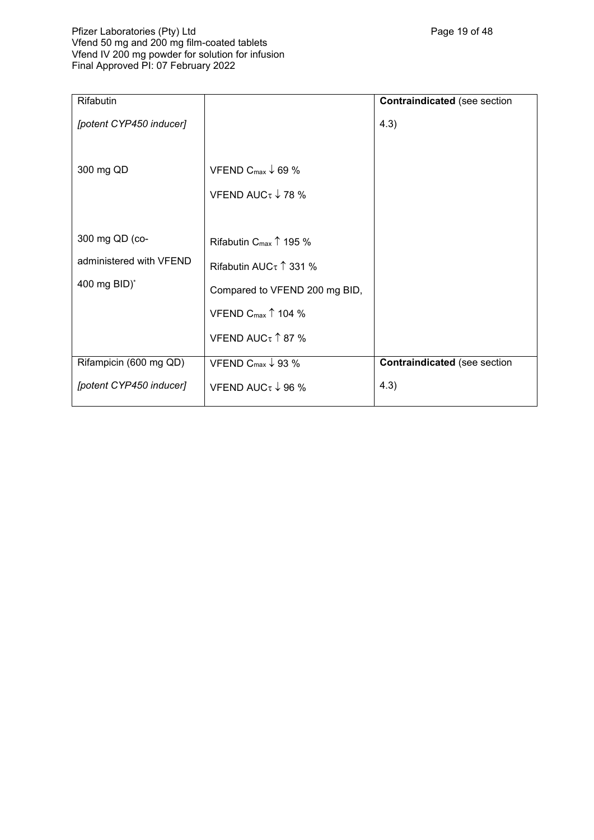## Pfizer Laboratories (Pty) Ltd Page 19 of 48 Vfend 50 mg and 200 mg film-coated tablets Vfend IV 200 mg powder for solution for infusion Final Approved PI: 07 February 2022

| Rifabutin                                                 |                                                                                                                                                                           | <b>Contraindicated</b> (see section |
|-----------------------------------------------------------|---------------------------------------------------------------------------------------------------------------------------------------------------------------------------|-------------------------------------|
| [potent CYP450 inducer]                                   |                                                                                                                                                                           | 4.3)                                |
| 300 mg QD                                                 | VFEND C <sub>max</sub> $\downarrow$ 69 %<br>VFEND AUC $\tau$ $\downarrow$ 78 %                                                                                            |                                     |
| 300 mg QD (co-<br>administered with VFEND<br>400 mg BID)* | Rifabutin $C_{\text{max}} \uparrow 195 \%$<br>Rifabutin AUC $\tau$ 1 331 %<br>Compared to VFEND 200 mg BID,<br>VFEND C <sub>max</sub> $\uparrow$ 104 %<br>VFEND AUCτ↑87 % |                                     |
| Rifampicin (600 mg QD)                                    | VFEND C <sub>max</sub> $\downarrow$ 93 %                                                                                                                                  | <b>Contraindicated (see section</b> |
| [potent CYP450 inducer]                                   | VFEND AUC $\tau$ $\downarrow$ 96 %                                                                                                                                        | 4.3)                                |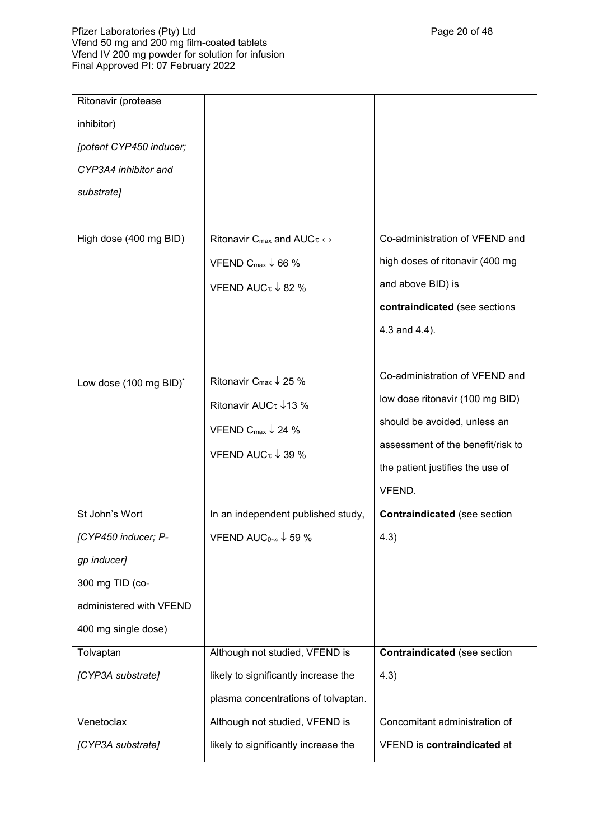| Ritonavir (protease     |                                                                                                                                                                          |                                                                                                                                                                                      |
|-------------------------|--------------------------------------------------------------------------------------------------------------------------------------------------------------------------|--------------------------------------------------------------------------------------------------------------------------------------------------------------------------------------|
| inhibitor)              |                                                                                                                                                                          |                                                                                                                                                                                      |
| [potent CYP450 inducer; |                                                                                                                                                                          |                                                                                                                                                                                      |
| CYP3A4 inhibitor and    |                                                                                                                                                                          |                                                                                                                                                                                      |
| substrate]              |                                                                                                                                                                          |                                                                                                                                                                                      |
| High dose (400 mg BID)  | Ritonavir C <sub>max</sub> and AUC $\tau \leftrightarrow$<br>VFEND C <sub>max</sub> $\downarrow$ 66 %<br>VFEND AUC $\tau$ $\downarrow$ 82 %                              | Co-administration of VFEND and<br>high doses of ritonavir (400 mg<br>and above BID) is<br>contraindicated (see sections<br>4.3 and 4.4).                                             |
| Low dose (100 mg BID)*  | Ritonavir C <sub>max</sub> $\downarrow$ 25 %<br>Ritonavir AUC $\tau$ $\downarrow$ 13 %<br>VFEND C <sub>max</sub> $\downarrow$ 24 %<br>VFEND AUC $\tau$ $\downarrow$ 39 % | Co-administration of VFEND and<br>low dose ritonavir (100 mg BID)<br>should be avoided, unless an<br>assessment of the benefit/risk to<br>the patient justifies the use of<br>VFEND. |
| St John's Wort          | In an independent published study,                                                                                                                                       | <b>Contraindicated (see section</b>                                                                                                                                                  |
| [CYP450 inducer; P-     | VFEND AUC <sub>0-<math>\infty</math></sub> $\downarrow$ 59 %                                                                                                             | 4.3)                                                                                                                                                                                 |
| gp inducer]             |                                                                                                                                                                          |                                                                                                                                                                                      |
| 300 mg TID (co-         |                                                                                                                                                                          |                                                                                                                                                                                      |
| administered with VFEND |                                                                                                                                                                          |                                                                                                                                                                                      |
| 400 mg single dose)     |                                                                                                                                                                          |                                                                                                                                                                                      |
| Tolvaptan               | Although not studied, VFEND is                                                                                                                                           | <b>Contraindicated (see section</b>                                                                                                                                                  |
| [CYP3A substrate]       | likely to significantly increase the                                                                                                                                     | 4.3)                                                                                                                                                                                 |
|                         | plasma concentrations of tolvaptan.                                                                                                                                      |                                                                                                                                                                                      |
| Venetoclax              | Although not studied, VFEND is                                                                                                                                           | Concomitant administration of                                                                                                                                                        |
| [CYP3A substrate]       | likely to significantly increase the                                                                                                                                     | VFEND is contraindicated at                                                                                                                                                          |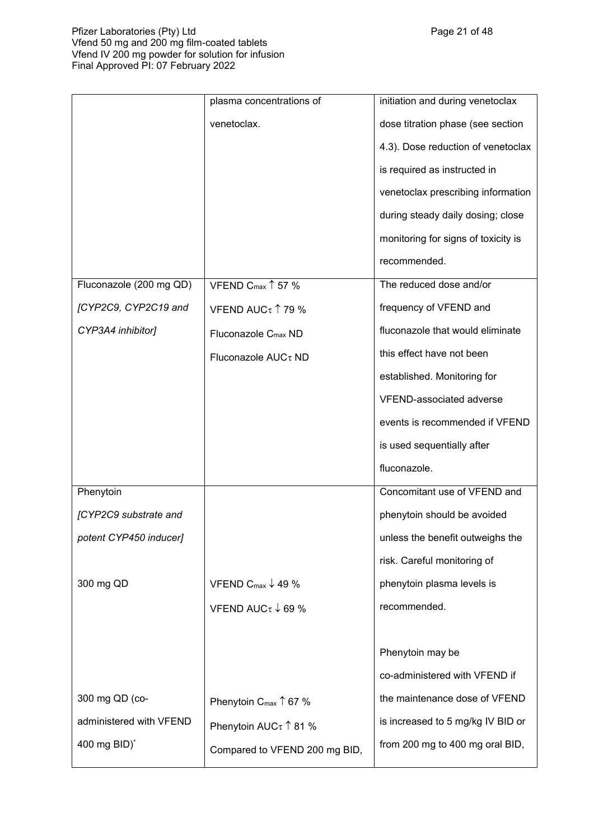## Pfizer Laboratories (Pty) Ltd Page 21 of 48 Vfend 50 mg and 200 mg film-coated tablets Vfend IV 200 mg powder for solution for infusion Final Approved PI: 07 February 2022

|                         | plasma concentrations of                 | initiation and during venetoclax    |
|-------------------------|------------------------------------------|-------------------------------------|
|                         | venetoclax.                              | dose titration phase (see section   |
|                         |                                          | 4.3). Dose reduction of venetoclax  |
|                         |                                          | is required as instructed in        |
|                         |                                          | venetoclax prescribing information  |
|                         |                                          | during steady daily dosing; close   |
|                         |                                          | monitoring for signs of toxicity is |
|                         |                                          | recommended.                        |
| Fluconazole (200 mg QD) | VFEND $C_{\text{max}} \uparrow 57$ %     | The reduced dose and/or             |
| [CYP2C9, CYP2C19 and    | VFEND AUCτ 179 %                         | frequency of VFEND and              |
| CYP3A4 inhibitor]       | Fluconazole C <sub>max</sub> ND          | fluconazole that would eliminate    |
|                         | Fluconazole AUCτ ND                      | this effect have not been           |
|                         |                                          | established. Monitoring for         |
|                         |                                          | VFEND-associated adverse            |
|                         |                                          | events is recommended if VFEND      |
|                         |                                          | is used sequentially after          |
|                         |                                          | fluconazole.                        |
| Phenytoin               |                                          | Concomitant use of VFEND and        |
| [CYP2C9 substrate and   |                                          | phenytoin should be avoided         |
| potent CYP450 inducer]  |                                          | unless the benefit outweighs the    |
|                         |                                          | risk. Careful monitoring of         |
| 300 mg QD               | VFEND C <sub>max</sub> $\downarrow$ 49 % | phenytoin plasma levels is          |
|                         | VFEND AUC $\tau$ $\downarrow$ 69 %       | recommended.                        |
|                         |                                          |                                     |
|                         |                                          | Phenytoin may be                    |
|                         |                                          | co-administered with VFEND if       |
| 300 mg QD (co-          | Phenytoin $C_{\text{max}} \uparrow 67$ % | the maintenance dose of VFEND       |
| administered with VFEND | Phenytoin AUC $\tau$ 1 81 %              | is increased to 5 mg/kg IV BID or   |
| 400 mg BID)*            | Compared to VFEND 200 mg BID,            | from 200 mg to 400 mg oral BID,     |
|                         |                                          |                                     |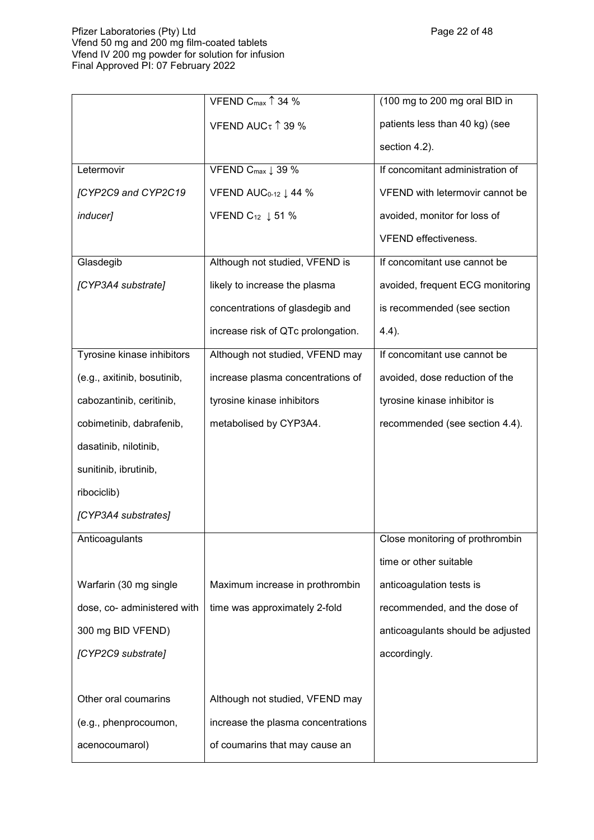## Pfizer Laboratories (Pty) Ltd Page 22 of 48 Vfend 50 mg and 200 mg film-coated tablets Vfend IV 200 mg powder for solution for infusion Final Approved PI: 07 February 2022

|                             | VFEND Cmax 1 34 %                           | (100 mg to 200 mg oral BID in     |
|-----------------------------|---------------------------------------------|-----------------------------------|
|                             | VFEND AUCτ↑39 %                             | patients less than 40 kg) (see    |
|                             |                                             | section 4.2).                     |
| Letermovir                  | VFEND Cmax 1 39 %                           | If concomitant administration of  |
| [CYP2C9 and CYP2C19         | VFEND AUC <sub>0-12</sub> $\downarrow$ 44 % | VFEND with letermovir cannot be   |
| inducer]                    | VFEND $C_{12}$ $\downarrow$ 51 %            | avoided, monitor for loss of      |
|                             |                                             | <b>VFEND</b> effectiveness.       |
| Glasdegib                   | Although not studied, VFEND is              | If concomitant use cannot be      |
| [CYP3A4 substrate]          | likely to increase the plasma               | avoided, frequent ECG monitoring  |
|                             | concentrations of glasdegib and             | is recommended (see section       |
|                             | increase risk of QTc prolongation.          | $4.4$ ).                          |
| Tyrosine kinase inhibitors  | Although not studied, VFEND may             | If concomitant use cannot be      |
| (e.g., axitinib, bosutinib, | increase plasma concentrations of           | avoided, dose reduction of the    |
| cabozantinib, ceritinib,    | tyrosine kinase inhibitors                  | tyrosine kinase inhibitor is      |
| cobimetinib, dabrafenib,    | metabolised by CYP3A4.                      | recommended (see section 4.4).    |
| dasatinib, nilotinib,       |                                             |                                   |
| sunitinib, ibrutinib,       |                                             |                                   |
| ribociclib)                 |                                             |                                   |
| [CYP3A4 substrates]         |                                             |                                   |
| Anticoagulants              |                                             | Close monitoring of prothrombin   |
|                             |                                             | time or other suitable            |
| Warfarin (30 mg single      | Maximum increase in prothrombin             | anticoagulation tests is          |
| dose, co- administered with | time was approximately 2-fold               | recommended, and the dose of      |
| 300 mg BID VFEND)           |                                             | anticoagulants should be adjusted |
| [CYP2C9 substrate]          |                                             | accordingly.                      |
|                             |                                             |                                   |
| Other oral coumarins        | Although not studied, VFEND may             |                                   |
| (e.g., phenprocoumon,       | increase the plasma concentrations          |                                   |
| acenocoumarol)              | of coumarins that may cause an              |                                   |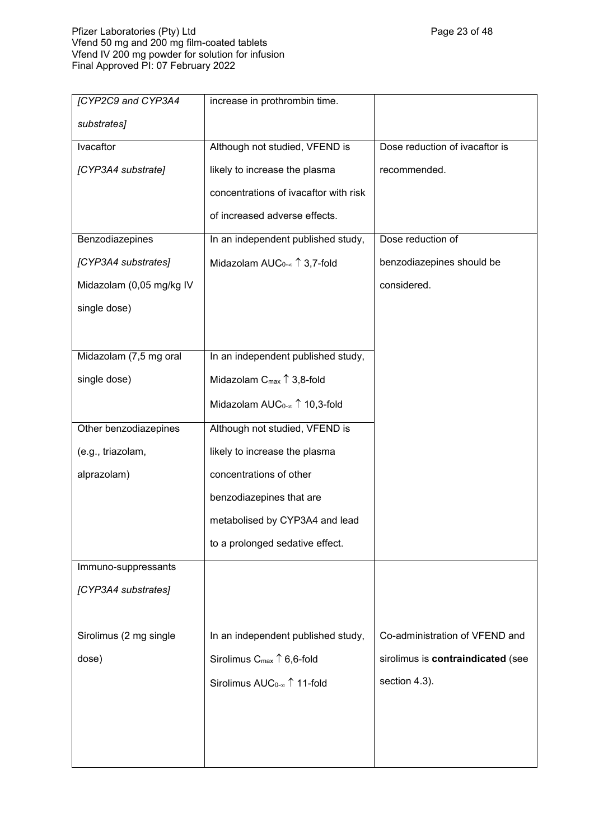## Pfizer Laboratories (Pty) Ltd Page 23 of 48 Vfend 50 mg and 200 mg film-coated tablets Vfend IV 200 mg powder for solution for infusion Final Approved PI: 07 February 2022

| [CYP2C9 and CYP3A4       | increase in prothrombin time.                                      |                                   |
|--------------------------|--------------------------------------------------------------------|-----------------------------------|
| substrates]              |                                                                    |                                   |
| Ivacaftor                | Although not studied, VFEND is                                     | Dose reduction of ivacaftor is    |
| [CYP3A4 substrate]       | likely to increase the plasma                                      | recommended.                      |
|                          | concentrations of ivacaftor with risk                              |                                   |
|                          | of increased adverse effects.                                      |                                   |
| Benzodiazepines          | In an independent published study,                                 | Dose reduction of                 |
| [CYP3A4 substrates]      | Midazolam AUC <sub>0-<math>\infty</math></sub> $\uparrow$ 3,7-fold | benzodiazepines should be         |
| Midazolam (0,05 mg/kg IV |                                                                    | considered.                       |
| single dose)             |                                                                    |                                   |
|                          |                                                                    |                                   |
| Midazolam (7,5 mg oral   | In an independent published study,                                 |                                   |
| single dose)             | Midazolam $C_{\text{max}} \uparrow 3,8$ -fold                      |                                   |
|                          | Midazolam $AUC_{0-\infty}$ 10,3-fold                               |                                   |
| Other benzodiazepines    | Although not studied, VFEND is                                     |                                   |
| (e.g., triazolam,        | likely to increase the plasma                                      |                                   |
| alprazolam)              | concentrations of other                                            |                                   |
|                          | benzodiazepines that are                                           |                                   |
|                          | metabolised by CYP3A4 and lead                                     |                                   |
|                          | to a prolonged sedative effect.                                    |                                   |
| Immuno-suppressants      |                                                                    |                                   |
| [CYP3A4 substrates]      |                                                                    |                                   |
|                          |                                                                    |                                   |
| Sirolimus (2 mg single   | In an independent published study,                                 | Co-administration of VFEND and    |
| dose)                    | Sirolimus $C_{\text{max}} \uparrow 6, 6$ -fold                     | sirolimus is contraindicated (see |
|                          | Sirolimus AUC <sub>0-∞</sub> 11-fold                               | section 4.3).                     |
|                          |                                                                    |                                   |
|                          |                                                                    |                                   |
|                          |                                                                    |                                   |
|                          |                                                                    |                                   |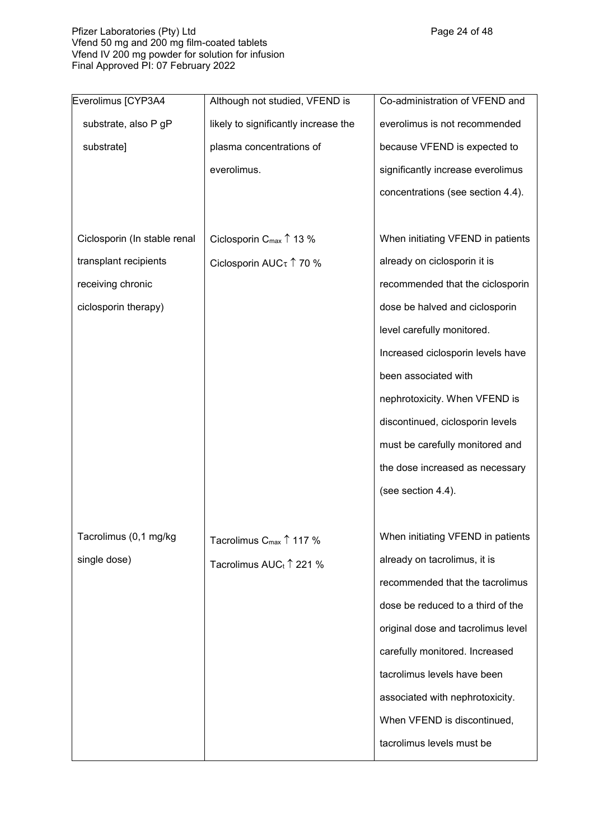## Pfizer Laboratories (Pty) Ltd Page 24 of 48 Vfend 50 mg and 200 mg film-coated tablets Vfend IV 200 mg powder for solution for infusion Final Approved PI: 07 February 2022

| Everolimus [CYP3A4           | Although not studied, VFEND is              | Co-administration of VFEND and     |
|------------------------------|---------------------------------------------|------------------------------------|
| substrate, also P gP         | likely to significantly increase the        | everolimus is not recommended      |
| substrate]                   | plasma concentrations of                    | because VFEND is expected to       |
|                              | everolimus.                                 | significantly increase everolimus  |
|                              |                                             | concentrations (see section 4.4).  |
|                              |                                             |                                    |
| Ciclosporin (In stable renal | Ciclosporin $C_{\text{max}} \uparrow 13 \%$ | When initiating VFEND in patients  |
| transplant recipients        | Ciclosporin AUC <sub>τ</sub> 1 70 %         | already on ciclosporin it is       |
| receiving chronic            |                                             | recommended that the ciclosporin   |
| ciclosporin therapy)         |                                             | dose be halved and ciclosporin     |
|                              |                                             | level carefully monitored.         |
|                              |                                             | Increased ciclosporin levels have  |
|                              |                                             | been associated with               |
|                              |                                             | nephrotoxicity. When VFEND is      |
|                              |                                             | discontinued, ciclosporin levels   |
|                              |                                             | must be carefully monitored and    |
|                              |                                             | the dose increased as necessary    |
|                              |                                             | (see section 4.4).                 |
|                              |                                             |                                    |
| Tacrolimus (0,1 mg/kg        | Tacrolimus C $_{\sf max}$ $\uparrow$ 117 %  | When initiating VFEND in patients  |
| single dose)                 | Tacrolimus AUC <sub>t</sub> ↑ 221 %         | already on tacrolimus, it is       |
|                              |                                             | recommended that the tacrolimus    |
|                              |                                             | dose be reduced to a third of the  |
|                              |                                             | original dose and tacrolimus level |
|                              |                                             | carefully monitored. Increased     |
|                              |                                             | tacrolimus levels have been        |
|                              |                                             | associated with nephrotoxicity.    |
|                              |                                             | When VFEND is discontinued,        |
|                              |                                             | tacrolimus levels must be          |
|                              |                                             |                                    |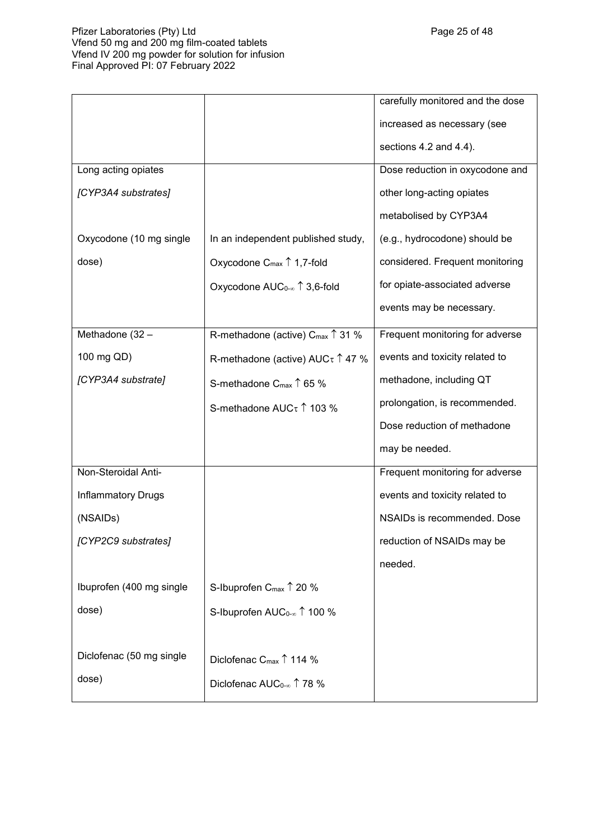## Pfizer Laboratories (Pty) Ltd Page 25 of 48 Vfend 50 mg and 200 mg film-coated tablets Vfend IV 200 mg powder for solution for infusion Final Approved PI: 07 February 2022

|                           |                                                                   | carefully monitored and the dose |
|---------------------------|-------------------------------------------------------------------|----------------------------------|
|                           |                                                                   | increased as necessary (see      |
|                           |                                                                   | sections 4.2 and 4.4).           |
| Long acting opiates       |                                                                   | Dose reduction in oxycodone and  |
| [CYP3A4 substrates]       |                                                                   | other long-acting opiates        |
|                           |                                                                   | metabolised by CYP3A4            |
| Oxycodone (10 mg single   | In an independent published study,                                | (e.g., hydrocodone) should be    |
| dose)                     | Oxycodone $C_{\text{max}} \uparrow 1,7$ -fold                     | considered. Frequent monitoring  |
|                           | Oxycodone AUC <sub>0-∞</sub> 1 3,6-fold                           | for opiate-associated adverse    |
|                           |                                                                   | events may be necessary.         |
| Methadone (32 -           | R-methadone (active) C <sub>max</sub> ↑ 31 %                      | Frequent monitoring for adverse  |
| 100 mg QD)                | R-methadone (active) $AUC \tau \uparrow 47$ %                     | events and toxicity related to   |
| [CYP3A4 substrate]        | S-methadone C <sub>max</sub> ↑ 65 %                               | methadone, including QT          |
|                           | S-methadone AUCτ 1 103 %                                          | prolongation, is recommended.    |
|                           |                                                                   | Dose reduction of methadone      |
|                           |                                                                   | may be needed.                   |
| Non-Steroidal Anti-       |                                                                   | Frequent monitoring for adverse  |
| <b>Inflammatory Drugs</b> |                                                                   | events and toxicity related to   |
| (NSAIDs)                  |                                                                   | NSAIDs is recommended. Dose      |
| [CYP2C9 substrates]       |                                                                   | reduction of NSAIDs may be       |
|                           |                                                                   | needed.                          |
| Ibuprofen (400 mg single  | S-Ibuprofen C <sub>max</sub> ↑ 20 %                               |                                  |
| dose)                     | S-Ibuprofen AUC <sub>0-<math>\infty</math></sub> $\uparrow$ 100 % |                                  |
|                           |                                                                   |                                  |
| Diclofenac (50 mg single  | Diclofenac C <sub>max</sub> 1114 %                                |                                  |
| dose)                     | Diclofenac $AUC_{0-\infty}$ $\uparrow$ 78 %                       |                                  |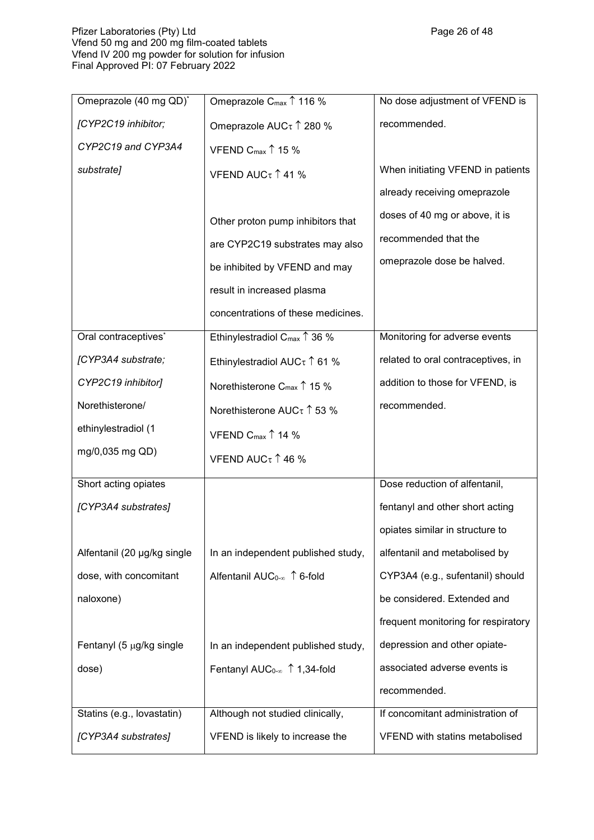| Omeprazole (40 mg QD)*      | Omeprazole C <sub>max</sub> $\uparrow$ 116 %      | No dose adjustment of VFEND is      |
|-----------------------------|---------------------------------------------------|-------------------------------------|
| [CYP2C19 inhibitor;         | Omeprazole AUCτ 1 280 %                           | recommended.                        |
| CYP2C19 and CYP3A4          | VFEND C <sub>max</sub> $\uparrow$ 15 %            |                                     |
| substrate]                  | VFEND AUC $\tau$ 1 41 %                           | When initiating VFEND in patients   |
|                             |                                                   | already receiving omeprazole        |
|                             | Other proton pump inhibitors that                 | doses of 40 mg or above, it is      |
|                             | are CYP2C19 substrates may also                   | recommended that the                |
|                             | be inhibited by VFEND and may                     | omeprazole dose be halved.          |
|                             | result in increased plasma                        |                                     |
|                             | concentrations of these medicines.                |                                     |
| Oral contraceptives*        | Ethinylestradiol C <sub>max</sub> $\uparrow$ 36 % | Monitoring for adverse events       |
| [CYP3A4 substrate;          | Ethinylestradiol AUC $\tau$ 1 61 %                | related to oral contraceptives, in  |
| CYP2C19 inhibitor]          | Norethisterone C <sub>max</sub> $\uparrow$ 15 %   | addition to those for VFEND, is     |
| Norethisterone/             | Norethisterone AUC $\tau$ 1 53 %                  | recommended.                        |
| ethinylestradiol (1         | VFEND C <sub>max</sub> $\uparrow$ 14 %            |                                     |
| mg/0,035 mg QD)             | VFEND AUC $\tau$ 1 46 %                           |                                     |
| Short acting opiates        |                                                   | Dose reduction of alfentanil,       |
| [CYP3A4 substrates]         |                                                   | fentanyl and other short acting     |
|                             |                                                   | opiates similar in structure to     |
| Alfentanil (20 µg/kg single | In an independent published study,                | alfentanil and metabolised by       |
| dose, with concomitant      | Alfentanil AUC <sub>0-∞</sub> ↑ 6-fold            | CYP3A4 (e.g., sufentanil) should    |
| naloxone)                   |                                                   | be considered. Extended and         |
|                             |                                                   | frequent monitoring for respiratory |
| Fentanyl (5 µg/kg single    | In an independent published study,                | depression and other opiate-        |
| dose)                       | Fentanyl AUC <sub>0-∞</sub> 1,34-fold             | associated adverse events is        |
|                             |                                                   | recommended.                        |
| Statins (e.g., lovastatin)  | Although not studied clinically,                  | If concomitant administration of    |
| [CYP3A4 substrates]         | VFEND is likely to increase the                   | VFEND with statins metabolised      |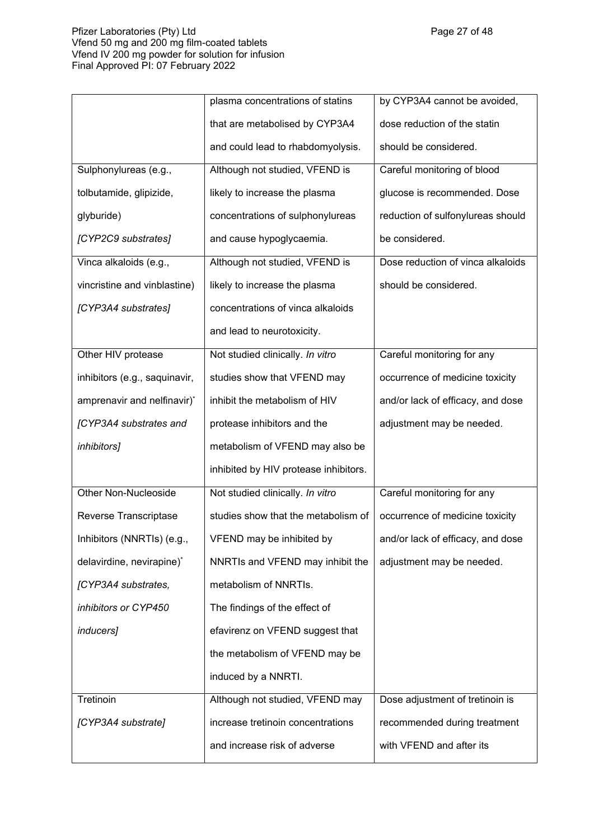## Pfizer Laboratories (Pty) Ltd Page 27 of 48 Vfend 50 mg and 200 mg film-coated tablets Vfend IV 200 mg powder for solution for infusion Final Approved PI: 07 February 2022

|                               | plasma concentrations of statins      | by CYP3A4 cannot be avoided,      |  |
|-------------------------------|---------------------------------------|-----------------------------------|--|
|                               | that are metabolised by CYP3A4        | dose reduction of the statin      |  |
|                               | and could lead to rhabdomyolysis.     | should be considered.             |  |
| Sulphonylureas (e.g.,         | Although not studied, VFEND is        | Careful monitoring of blood       |  |
| tolbutamide, glipizide,       | likely to increase the plasma         | glucose is recommended. Dose      |  |
| glyburide)                    | concentrations of sulphonylureas      | reduction of sulfonylureas should |  |
| [CYP2C9 substrates]           | and cause hypoglycaemia.              | be considered.                    |  |
| Vinca alkaloids (e.g.,        | Although not studied, VFEND is        | Dose reduction of vinca alkaloids |  |
| vincristine and vinblastine)  | likely to increase the plasma         | should be considered.             |  |
| [CYP3A4 substrates]           | concentrations of vinca alkaloids     |                                   |  |
|                               | and lead to neurotoxicity.            |                                   |  |
| Other HIV protease            | Not studied clinically. In vitro      | Careful monitoring for any        |  |
| inhibitors (e.g., saquinavir, | studies show that VFEND may           | occurrence of medicine toxicity   |  |
| amprenavir and nelfinavir)*   | inhibit the metabolism of HIV         | and/or lack of efficacy, and dose |  |
| [CYP3A4 substrates and        | protease inhibitors and the           | adjustment may be needed.         |  |
| inhibitors]                   | metabolism of VFEND may also be       |                                   |  |
|                               | inhibited by HIV protease inhibitors. |                                   |  |
| <b>Other Non-Nucleoside</b>   | Not studied clinically. In vitro      | Careful monitoring for any        |  |
| Reverse Transcriptase         | studies show that the metabolism of   | occurrence of medicine toxicity   |  |
| Inhibitors (NNRTIs) (e.g.,    | VFEND may be inhibited by             | and/or lack of efficacy, and dose |  |
| delavirdine, nevirapine)*     | NNRTIs and VFEND may inhibit the      | adjustment may be needed.         |  |
| [CYP3A4 substrates,           | metabolism of NNRTIs.                 |                                   |  |
| inhibitors or CYP450          | The findings of the effect of         |                                   |  |
| inducers]                     | efavirenz on VFEND suggest that       |                                   |  |
|                               | the metabolism of VFEND may be        |                                   |  |
|                               | induced by a NNRTI.                   |                                   |  |
| Tretinoin                     | Although not studied, VFEND may       | Dose adjustment of tretinoin is   |  |
| [CYP3A4 substrate]            | increase tretinoin concentrations     | recommended during treatment      |  |
|                               | and increase risk of adverse          | with VFEND and after its          |  |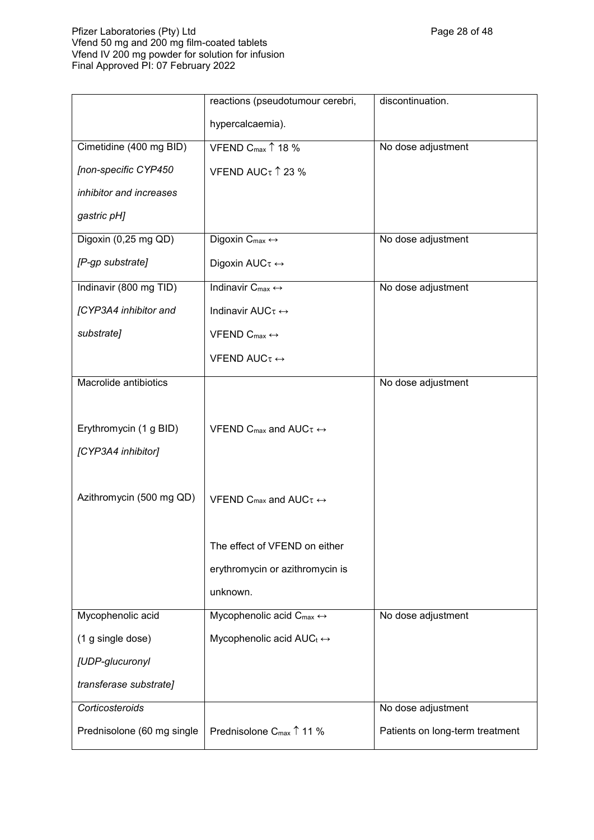## Pfizer Laboratories (Pty) Ltd Page 28 of 48 of 48 of 48  $\,$ Vfend 50 mg and 200 mg film-coated tablets Vfend IV 200 mg powder for solution for infusion Final Approved PI: 07 February 2022

|                            | reactions (pseudotumour cerebri,                      | discontinuation.                |  |
|----------------------------|-------------------------------------------------------|---------------------------------|--|
|                            | hypercalcaemia).                                      |                                 |  |
| Cimetidine (400 mg BID)    | VFEND C <sub>max</sub> 18 %<br>No dose adjustment     |                                 |  |
| [non-specific CYP450       | VFEND AUC $\tau$ 1 23 %                               |                                 |  |
| inhibitor and increases    |                                                       |                                 |  |
| gastric pH]                |                                                       |                                 |  |
| Digoxin (0,25 mg QD)       | Digoxin $C_{max} \leftrightarrow$                     | No dose adjustment              |  |
| [P-gp substrate]           | Digoxin AUCτ ↔                                        |                                 |  |
| Indinavir (800 mg TID)     | Indinavir $C_{\text{max}} \leftrightarrow$            | No dose adjustment              |  |
| [CYP3A4 inhibitor and      | Indinavir AUCτ ↔                                      |                                 |  |
| substrate]                 | VFEND $C_{\text{max}} \leftrightarrow$                |                                 |  |
|                            | VFEND AUC $\tau \leftrightarrow$                      |                                 |  |
| Macrolide antibiotics      |                                                       | No dose adjustment              |  |
|                            |                                                       |                                 |  |
| Erythromycin (1 g BID)     | VFEND C <sub>max</sub> and AUC $\tau \leftrightarrow$ |                                 |  |
| [CYP3A4 inhibitor]         |                                                       |                                 |  |
|                            |                                                       |                                 |  |
| Azithromycin (500 mg QD)   | VFEND C <sub>max</sub> and AUC $\tau \leftrightarrow$ |                                 |  |
|                            |                                                       |                                 |  |
|                            | The effect of VFEND on either                         |                                 |  |
|                            | erythromycin or azithromycin is                       |                                 |  |
|                            | unknown.                                              |                                 |  |
| Mycophenolic acid          | Mycophenolic acid $C_{\text{max}} \leftrightarrow$    | No dose adjustment              |  |
| (1 g single dose)          | Mycophenolic acid $AUC_t \leftrightarrow$             |                                 |  |
| [UDP-glucuronyl            |                                                       |                                 |  |
| transferase substrate]     |                                                       |                                 |  |
| Corticosteroids            |                                                       | No dose adjustment              |  |
| Prednisolone (60 mg single | Prednisolone C <sub>max</sub> ↑ 11 %                  | Patients on long-term treatment |  |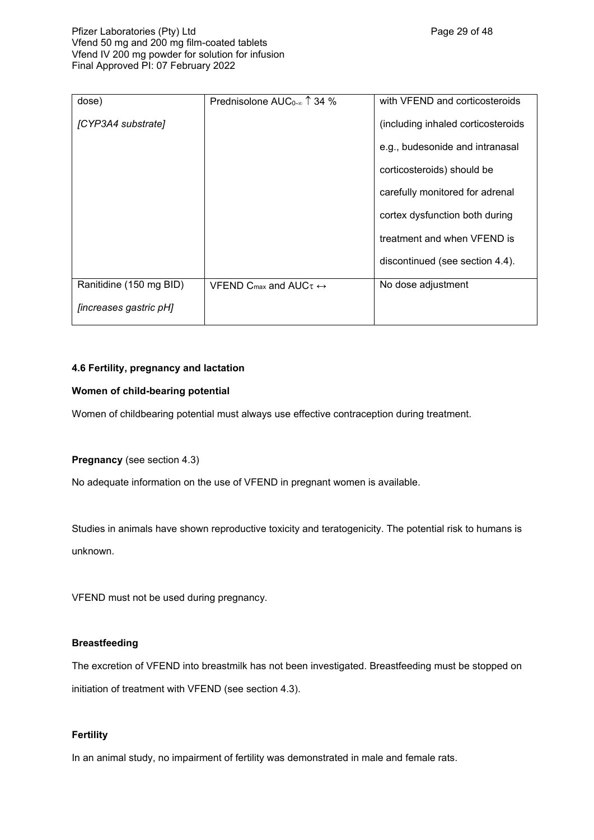| dose)                   | Prednisolone AUC <sub>0-<math>\infty</math></sub> $\uparrow$ 34 % | with VFEND and corticosteroids     |  |
|-------------------------|-------------------------------------------------------------------|------------------------------------|--|
| [CYP3A4 substrate]      |                                                                   | (including inhaled corticosteroids |  |
|                         |                                                                   | e.g., budesonide and intranasal    |  |
|                         |                                                                   | corticosteroids) should be         |  |
|                         |                                                                   | carefully monitored for adrenal    |  |
|                         |                                                                   | cortex dysfunction both during     |  |
|                         |                                                                   | treatment and when VFEND is        |  |
|                         |                                                                   | discontinued (see section 4.4).    |  |
| Ranitidine (150 mg BID) | VFEND C <sub>max</sub> and AUC $\tau \leftrightarrow$             | No dose adjustment                 |  |
| [increases gastric pH]  |                                                                   |                                    |  |

# **4.6 Fertility, pregnancy and lactation**

## **Women of child-bearing potential**

Women of childbearing potential must always use effective contraception during treatment.

## **Pregnancy** (see section 4.3)

No adequate information on the use of VFEND in pregnant women is available.

Studies in animals have shown reproductive toxicity and teratogenicity. The potential risk to humans is unknown.

VFEND must not be used during pregnancy.

## **Breastfeeding**

The excretion of VFEND into breastmilk has not been investigated. Breastfeeding must be stopped on initiation of treatment with VFEND (see section 4.3).

## **Fertility**

In an animal study, no impairment of fertility was demonstrated in male and female rats.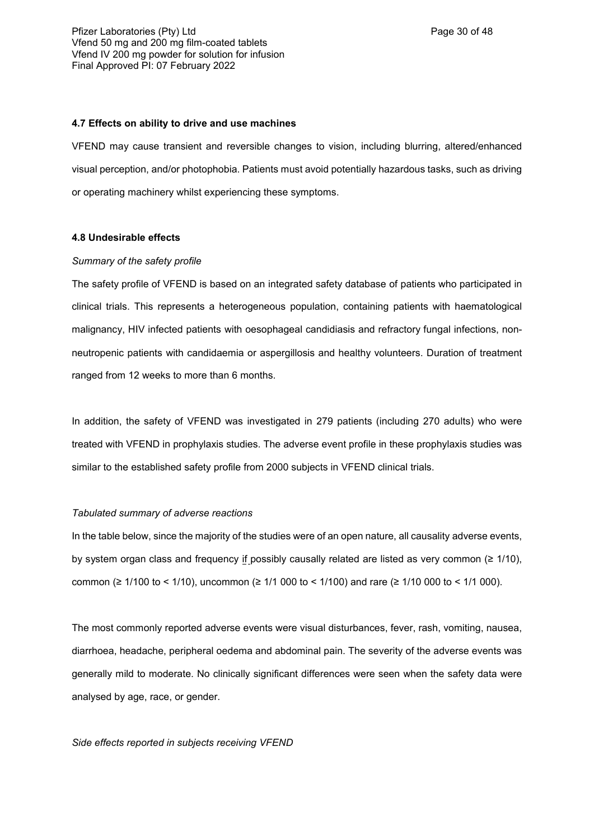#### **4.7 Effects on ability to drive and use machines**

VFEND may cause transient and reversible changes to vision, including blurring, altered/enhanced visual perception, and/or photophobia. Patients must avoid potentially hazardous tasks, such as driving or operating machinery whilst experiencing these symptoms.

### **4.8 Undesirable effects**

#### *Summary of the safety profile*

The safety profile of VFEND is based on an integrated safety database of patients who participated in clinical trials. This represents a heterogeneous population, containing patients with haematological malignancy, HIV infected patients with oesophageal candidiasis and refractory fungal infections, nonneutropenic patients with candidaemia or aspergillosis and healthy volunteers. Duration of treatment ranged from 12 weeks to more than 6 months.

In addition, the safety of VFEND was investigated in 279 patients (including 270 adults) who were treated with VFEND in prophylaxis studies. The adverse event profile in these prophylaxis studies was similar to the established safety profile from 2000 subjects in VFEND clinical trials.

## *Tabulated summary of adverse reactions*

In the table below, since the majority of the studies were of an open nature, all causality adverse events, by system organ class and frequency if possibly causally related are listed as very common  $(≥ 1/10)$ , common (≥ 1/100 to < 1/10), uncommon (≥ 1/1 000 to < 1/100) and rare (≥ 1/10 000 to < 1/1 000).

The most commonly reported adverse events were visual disturbances, fever, rash, vomiting, nausea, diarrhoea, headache, peripheral oedema and abdominal pain. The severity of the adverse events was generally mild to moderate. No clinically significant differences were seen when the safety data were analysed by age, race, or gender.

#### *Side effects reported in subjects receiving VFEND*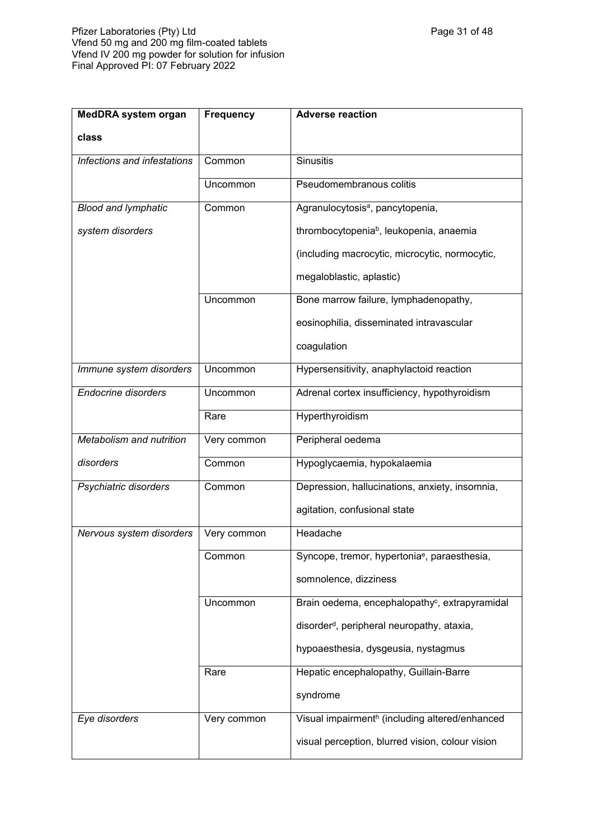| <b>MedDRA system organ</b>  | <b>Frequency</b> | <b>Adverse reaction</b>                                    |  |
|-----------------------------|------------------|------------------------------------------------------------|--|
| class                       |                  |                                                            |  |
| Infections and infestations | Common           | <b>Sinusitis</b>                                           |  |
|                             | Uncommon         | Pseudomembranous colitis                                   |  |
| <b>Blood and lymphatic</b>  | Common           | Agranulocytosis <sup>a</sup> , pancytopenia,               |  |
| system disorders            |                  | thrombocytopenia <sup>b</sup> , leukopenia, anaemia        |  |
|                             |                  | (including macrocytic, microcytic, normocytic,             |  |
|                             |                  | megaloblastic, aplastic)                                   |  |
|                             | Uncommon         | Bone marrow failure, lymphadenopathy,                      |  |
|                             |                  | eosinophilia, disseminated intravascular                   |  |
|                             |                  | coagulation                                                |  |
| Immune system disorders     | Uncommon         | Hypersensitivity, anaphylactoid reaction                   |  |
| <b>Endocrine disorders</b>  | Uncommon         | Adrenal cortex insufficiency, hypothyroidism               |  |
|                             | Rare             | Hyperthyroidism                                            |  |
| Metabolism and nutrition    | Very common      | Peripheral oedema                                          |  |
| disorders                   | Common           | Hypoglycaemia, hypokalaemia                                |  |
| Psychiatric disorders       | Common           | Depression, hallucinations, anxiety, insomnia,             |  |
|                             |                  | agitation, confusional state                               |  |
| Nervous system disorders    | Very common      | Headache                                                   |  |
|                             | Common           | Syncope, tremor, hypertonia <sup>e</sup> , paraesthesia,   |  |
|                             |                  | somnolence, dizziness                                      |  |
|                             | Uncommon         | Brain oedema, encephalopathy <sup>c</sup> , extrapyramidal |  |
|                             |                  | disorder <sup>d</sup> , peripheral neuropathy, ataxia,     |  |
|                             |                  | hypoaesthesia, dysgeusia, nystagmus                        |  |
|                             | Rare             | Hepatic encephalopathy, Guillain-Barre                     |  |
|                             |                  | syndrome                                                   |  |
| Eye disorders               | Very common      | Visual impairmenth (including altered/enhanced             |  |
|                             |                  | visual perception, blurred vision, colour vision           |  |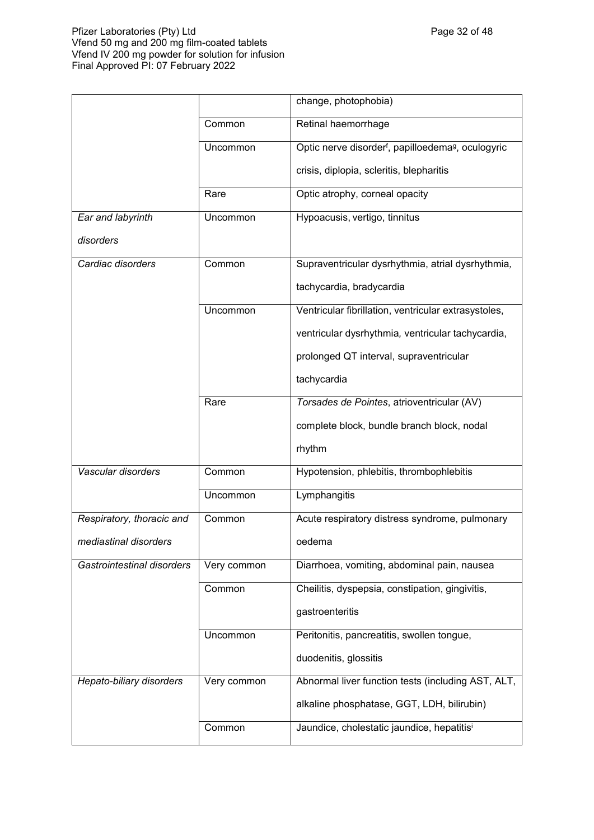## Pfizer Laboratories (Pty) Ltd Page 32 of 48 Vfend 50 mg and 200 mg film-coated tablets Vfend IV 200 mg powder for solution for infusion Final Approved PI: 07 February 2022

|                            |             | change, photophobia)                                                       |  |
|----------------------------|-------------|----------------------------------------------------------------------------|--|
|                            | Common      | Retinal haemorrhage                                                        |  |
|                            | Uncommon    | Optic nerve disorder <sup>f</sup> , papilloedema <sup>g</sup> , oculogyric |  |
|                            |             | crisis, diplopia, scleritis, blepharitis                                   |  |
|                            | Rare        | Optic atrophy, corneal opacity                                             |  |
| Ear and labyrinth          | Uncommon    | Hypoacusis, vertigo, tinnitus                                              |  |
| disorders                  |             |                                                                            |  |
| Cardiac disorders          | Common      | Supraventricular dysrhythmia, atrial dysrhythmia,                          |  |
|                            |             | tachycardia, bradycardia                                                   |  |
|                            | Uncommon    | Ventricular fibrillation, ventricular extrasystoles,                       |  |
|                            |             | ventricular dysrhythmia, ventricular tachycardia,                          |  |
|                            |             | prolonged QT interval, supraventricular                                    |  |
|                            |             | tachycardia                                                                |  |
|                            | Rare        | Torsades de Pointes, atrioventricular (AV)                                 |  |
|                            |             | complete block, bundle branch block, nodal                                 |  |
|                            |             | rhythm                                                                     |  |
| Vascular disorders         | Common      | Hypotension, phlebitis, thrombophlebitis                                   |  |
|                            | Uncommon    | Lymphangitis                                                               |  |
| Respiratory, thoracic and  | Common      | Acute respiratory distress syndrome, pulmonary                             |  |
| mediastinal disorders      |             | oedema                                                                     |  |
| Gastrointestinal disorders | Very common | Diarrhoea, vomiting, abdominal pain, nausea                                |  |
|                            | Common      | Cheilitis, dyspepsia, constipation, gingivitis,                            |  |
|                            |             | gastroenteritis                                                            |  |
|                            | Uncommon    | Peritonitis, pancreatitis, swollen tongue,                                 |  |
|                            |             | duodenitis, glossitis                                                      |  |
| Hepato-biliary disorders   | Very common | Abnormal liver function tests (including AST, ALT,                         |  |
|                            |             | alkaline phosphatase, GGT, LDH, bilirubin)                                 |  |
|                            | Common      | Jaundice, cholestatic jaundice, hepatitisi                                 |  |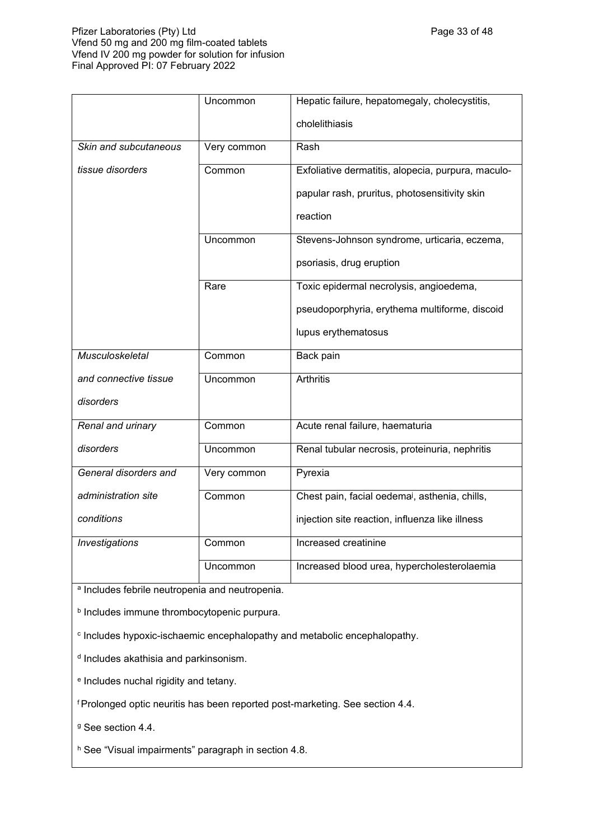## Pfizer Laboratories (Pty) Ltd **Philosopheratories** (Pty) Ltd **Page 33 of 48** Vfend 50 mg and 200 mg film-coated tablets Vfend IV 200 mg powder for solution for infusion Final Approved PI: 07 February 2022

|                       | Uncommon    | Hepatic failure, hepatomegaly, cholecystitis,              |  |
|-----------------------|-------------|------------------------------------------------------------|--|
|                       |             | cholelithiasis                                             |  |
|                       |             |                                                            |  |
| Skin and subcutaneous | Very common | Rash                                                       |  |
| tissue disorders      | Common      | Exfoliative dermatitis, alopecia, purpura, maculo-         |  |
|                       |             | papular rash, pruritus, photosensitivity skin              |  |
|                       |             | reaction                                                   |  |
|                       | Uncommon    | Stevens-Johnson syndrome, urticaria, eczema,               |  |
|                       |             | psoriasis, drug eruption                                   |  |
|                       | Rare        | Toxic epidermal necrolysis, angioedema,                    |  |
|                       |             | pseudoporphyria, erythema multiforme, discoid              |  |
|                       |             | lupus erythematosus                                        |  |
| Musculoskeletal       | Common      | Back pain                                                  |  |
| and connective tissue | Uncommon    | <b>Arthritis</b>                                           |  |
| disorders             |             |                                                            |  |
| Renal and urinary     | Common      | Acute renal failure, haematuria                            |  |
| disorders             | Uncommon    | Renal tubular necrosis, proteinuria, nephritis             |  |
| General disorders and | Very common | Pyrexia                                                    |  |
| administration site   | Common      | Chest pain, facial oedema <sup>j</sup> , asthenia, chills, |  |
| conditions            |             | injection site reaction, influenza like illness            |  |
| Investigations        | Common      | Increased creatinine                                       |  |
|                       | Uncommon    | Increased blood urea, hypercholesterolaemia                |  |

a Includes febrile neutropenia and neutropenia.

**b** Includes immune thrombocytopenic purpura.

c Includes hypoxic-ischaemic encephalopathy and metabolic encephalopathy.

<sup>d</sup> Includes akathisia and parkinsonism.

e Includes nuchal rigidity and tetany.

<sup>f</sup>Prolonged optic neuritis has been reported post-marketing. See section 4.4.

<sup>g</sup> See section 4.4.

h See "Visual impairments" paragraph in section 4.8.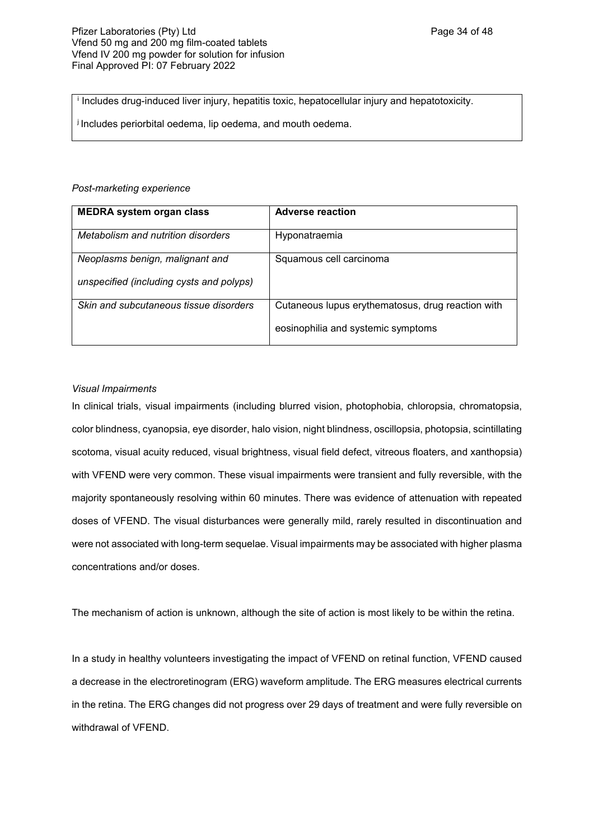i Includes drug-induced liver injury, hepatitis toxic, hepatocellular injury and hepatotoxicity.

i Includes periorbital oedema, lip oedema, and mouth oedema.

#### *Post-marketing experience*

| <b>MEDRA system organ class</b>          | <b>Adverse reaction</b>                           |
|------------------------------------------|---------------------------------------------------|
| Metabolism and nutrition disorders       | Hyponatraemia                                     |
| Neoplasms benign, malignant and          | Squamous cell carcinoma                           |
| unspecified (including cysts and polyps) |                                                   |
| Skin and subcutaneous tissue disorders   | Cutaneous lupus erythematosus, drug reaction with |
|                                          | eosinophilia and systemic symptoms                |

## *Visual Impairments*

In clinical trials, visual impairments (including blurred vision, photophobia, chloropsia, chromatopsia, color blindness, cyanopsia, eye disorder, halo vision, night blindness, oscillopsia, photopsia, scintillating scotoma, visual acuity reduced, visual brightness, visual field defect, vitreous floaters, and xanthopsia) with VFEND were very common. These visual impairments were transient and fully reversible, with the majority spontaneously resolving within 60 minutes. There was evidence of attenuation with repeated doses of VFEND. The visual disturbances were generally mild, rarely resulted in discontinuation and were not associated with long-term sequelae. Visual impairments may be associated with higher plasma concentrations and/or doses.

The mechanism of action is unknown, although the site of action is most likely to be within the retina.

In a study in healthy volunteers investigating the impact of VFEND on retinal function, VFEND caused a decrease in the electroretinogram (ERG) waveform amplitude. The ERG measures electrical currents in the retina. The ERG changes did not progress over 29 days of treatment and were fully reversible on withdrawal of VFEND.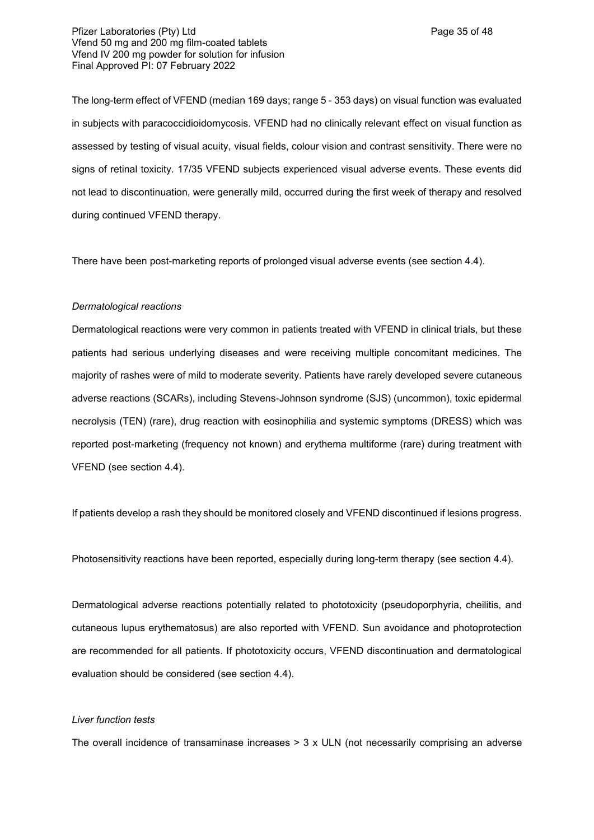The long-term effect of VFEND (median 169 days; range 5 - 353 days) on visual function was evaluated in subjects with paracoccidioidomycosis. VFEND had no clinically relevant effect on visual function as assessed by testing of visual acuity, visual fields, colour vision and contrast sensitivity. There were no signs of retinal toxicity. 17/35 VFEND subjects experienced visual adverse events. These events did not lead to discontinuation, were generally mild, occurred during the first week of therapy and resolved during continued VFEND therapy.

There have been post-marketing reports of prolonged visual adverse events (see section 4.4).

#### *Dermatological reactions*

Dermatological reactions were very common in patients treated with VFEND in clinical trials, but these patients had serious underlying diseases and were receiving multiple concomitant medicines. The majority of rashes were of mild to moderate severity. Patients have rarely developed severe cutaneous adverse reactions (SCARs), including Stevens-Johnson syndrome (SJS) (uncommon), toxic epidermal necrolysis (TEN) (rare), drug reaction with eosinophilia and systemic symptoms (DRESS) which was reported post-marketing (frequency not known) and erythema multiforme (rare) during treatment with VFEND (see section 4.4).

If patients develop a rash they should be monitored closely and VFEND discontinued if lesions progress.

Photosensitivity reactions have been reported, especially during long-term therapy (see section 4.4).

Dermatological adverse reactions potentially related to phototoxicity (pseudoporphyria, cheilitis, and cutaneous lupus erythematosus) are also reported with VFEND. Sun avoidance and photoprotection are recommended for all patients. If phototoxicity occurs, VFEND discontinuation and dermatological evaluation should be considered (see section 4.4).

### *Liver function tests*

The overall incidence of transaminase increases  $>$  3 x ULN (not necessarily comprising an adverse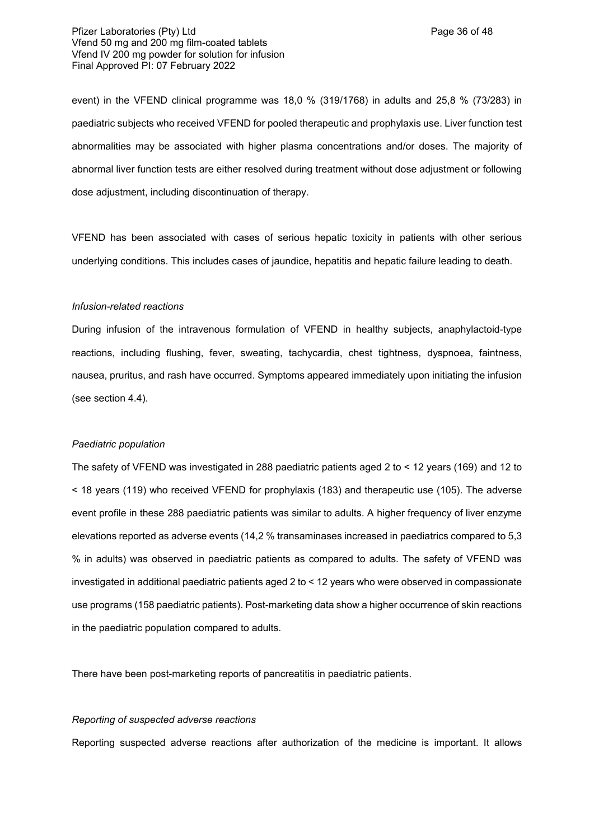Pfizer Laboratories (Pty) Ltd **Philosopheratories** (Pty) Ltd **Page 36 of 48** Vfend 50 mg and 200 mg film-coated tablets Vfend IV 200 mg powder for solution for infusion Final Approved PI: 07 February 2022

event) in the VFEND clinical programme was 18,0 % (319/1768) in adults and 25,8 % (73/283) in paediatric subjects who received VFEND for pooled therapeutic and prophylaxis use. Liver function test abnormalities may be associated with higher plasma concentrations and/or doses. The majority of abnormal liver function tests are either resolved during treatment without dose adjustment or following dose adjustment, including discontinuation of therapy.

VFEND has been associated with cases of serious hepatic toxicity in patients with other serious underlying conditions. This includes cases of jaundice, hepatitis and hepatic failure leading to death.

#### *Infusion-related reactions*

During infusion of the intravenous formulation of VFEND in healthy subjects, anaphylactoid-type reactions, including flushing, fever, sweating, tachycardia, chest tightness, dyspnoea, faintness, nausea, pruritus, and rash have occurred. Symptoms appeared immediately upon initiating the infusion (see section 4.4).

#### *Paediatric population*

The safety of VFEND was investigated in 288 paediatric patients aged 2 to < 12 years (169) and 12 to < 18 years (119) who received VFEND for prophylaxis (183) and therapeutic use (105). The adverse event profile in these 288 paediatric patients was similar to adults. A higher frequency of liver enzyme elevations reported as adverse events (14,2 % transaminases increased in paediatrics compared to 5,3 % in adults) was observed in paediatric patients as compared to adults. The safety of VFEND was investigated in additional paediatric patients aged 2 to < 12 years who were observed in compassionate use programs (158 paediatric patients). Post-marketing data show a higher occurrence of skin reactions in the paediatric population compared to adults.

There have been post-marketing reports of pancreatitis in paediatric patients.

#### *Reporting of suspected adverse reactions*

Reporting suspected adverse reactions after authorization of the medicine is important. It allows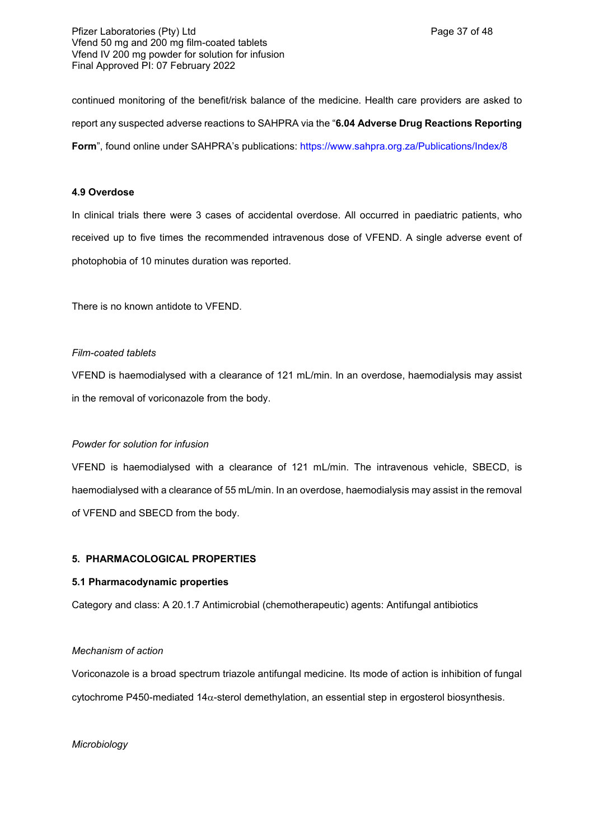continued monitoring of the benefit/risk balance of the medicine. Health care providers are asked to report any suspected adverse reactions to SAHPRA via the "**6.04 Adverse Drug Reactions Reporting**  Form", found online under SAHPRA's publications: <https://www.sahpra.org.za/Publications/Index/8>

## **4.9 Overdose**

In clinical trials there were 3 cases of accidental overdose. All occurred in paediatric patients, who received up to five times the recommended intravenous dose of VFEND. A single adverse event of photophobia of 10 minutes duration was reported.

There is no known antidote to VFEND.

#### *Film-coated tablets*

VFEND is haemodialysed with a clearance of 121 mL/min. In an overdose, haemodialysis may assist in the removal of voriconazole from the body.

## *Powder for solution for infusion*

VFEND is haemodialysed with a clearance of 121 mL/min. The intravenous vehicle, SBECD, is haemodialysed with a clearance of 55 mL/min. In an overdose, haemodialysis may assist in the removal of VFEND and SBECD from the body.

## **5. PHARMACOLOGICAL PROPERTIES**

#### **5.1 Pharmacodynamic properties**

Category and class: A 20.1.7 Antimicrobial (chemotherapeutic) agents: Antifungal antibiotics

## *Mechanism of action*

Voriconazole is a broad spectrum triazole antifungal medicine. Its mode of action is inhibition of fungal cytochrome P450-mediated  $14\alpha$ -sterol demethylation, an essential step in ergosterol biosynthesis.

#### *Microbiology*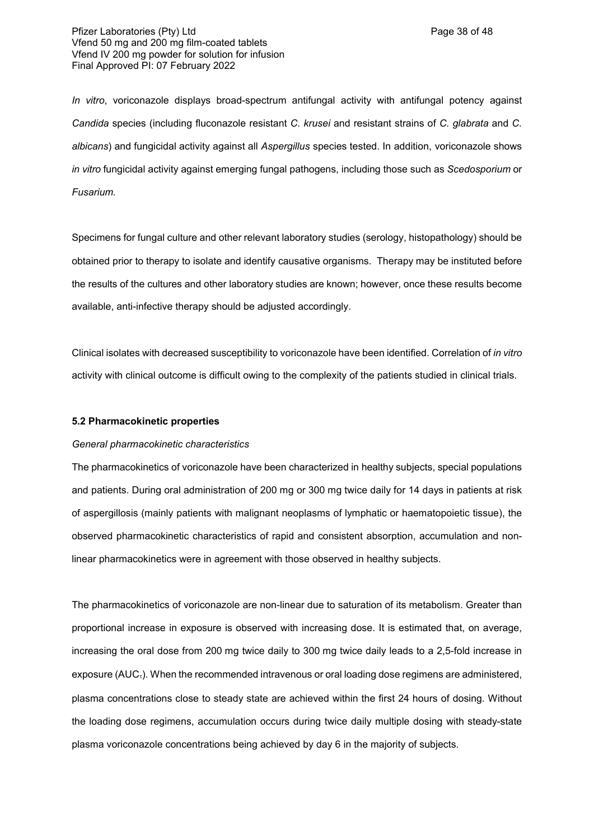*In vitro*, voriconazole displays broad-spectrum antifungal activity with antifungal potency against *Candida* species (including fluconazole resistant *C. krusei* and resistant strains of *C. glabrata* and *C. albicans*) and fungicidal activity against all *Aspergillus* species tested. In addition, voriconazole shows *in vitro* fungicidal activity against emerging fungal pathogens, including those such as *Scedosporium* or *Fusarium.*

Specimens for fungal culture and other relevant laboratory studies (serology, histopathology) should be obtained prior to therapy to isolate and identify causative organisms. Therapy may be instituted before the results of the cultures and other laboratory studies are known; however, once these results become available, anti-infective therapy should be adjusted accordingly.

Clinical isolates with decreased susceptibility to voriconazole have been identified. Correlation of *in vitro* activity with clinical outcome is difficult owing to the complexity of the patients studied in clinical trials.

## **5.2 Pharmacokinetic properties**

#### *General pharmacokinetic characteristics*

The pharmacokinetics of voriconazole have been characterized in healthy subjects, special populations and patients. During oral administration of 200 mg or 300 mg twice daily for 14 days in patients at risk of aspergillosis (mainly patients with malignant neoplasms of lymphatic or haematopoietic tissue), the observed pharmacokinetic characteristics of rapid and consistent absorption, accumulation and nonlinear pharmacokinetics were in agreement with those observed in healthy subjects.

The pharmacokinetics of voriconazole are non-linear due to saturation of its metabolism. Greater than proportional increase in exposure is observed with increasing dose. It is estimated that, on average, increasing the oral dose from 200 mg twice daily to 300 mg twice daily leads to a 2,5-fold increase in exposure ( $AUC_i$ ). When the recommended intravenous or oral loading dose regimens are administered, plasma concentrations close to steady state are achieved within the first 24 hours of dosing. Without the loading dose regimens, accumulation occurs during twice daily multiple dosing with steady-state plasma voriconazole concentrations being achieved by day 6 in the majority of subjects.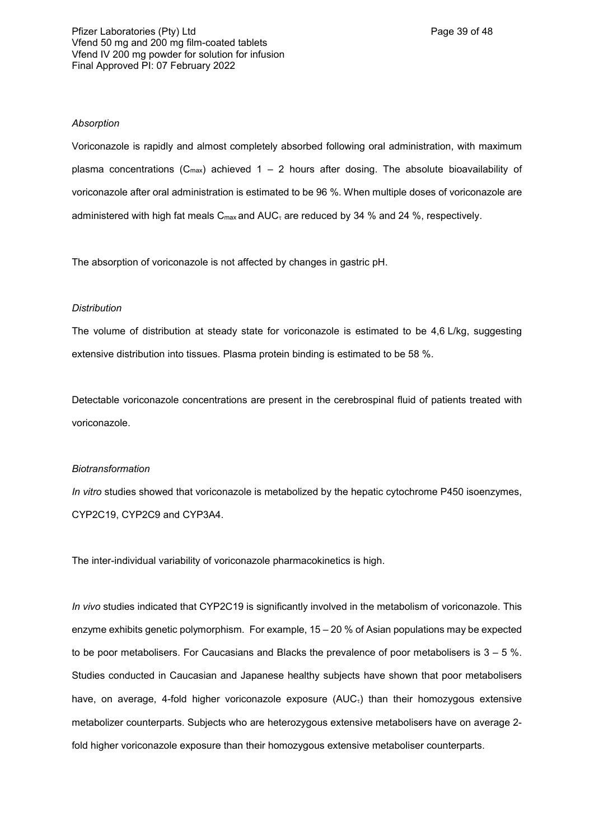#### *Absorption*

Voriconazole is rapidly and almost completely absorbed following oral administration, with maximum plasma concentrations ( $C_{\text{max}}$ ) achieved 1 – 2 hours after dosing. The absolute bioavailability of voriconazole after oral administration is estimated to be 96 %. When multiple doses of voriconazole are administered with high fat meals  $C_{\text{max}}$  and  $AUC_{\tau}$  are reduced by 34 % and 24 %, respectively.

The absorption of voriconazole is not affected by changes in gastric pH.

#### *Distribution*

The volume of distribution at steady state for voriconazole is estimated to be 4,6 L/kg, suggesting extensive distribution into tissues. Plasma protein binding is estimated to be 58 %.

Detectable voriconazole concentrations are present in the cerebrospinal fluid of patients treated with voriconazole.

#### *Biotransformation*

*In vitro* studies showed that voriconazole is metabolized by the hepatic cytochrome P450 isoenzymes, CYP2C19, CYP2C9 and CYP3A4.

The inter-individual variability of voriconazole pharmacokinetics is high.

*In vivo* studies indicated that CYP2C19 is significantly involved in the metabolism of voriconazole. This enzyme exhibits genetic polymorphism. For example, 15 – 20 % of Asian populations may be expected to be poor metabolisers. For Caucasians and Blacks the prevalence of poor metabolisers is  $3 - 5$  %. Studies conducted in Caucasian and Japanese healthy subjects have shown that poor metabolisers have, on average, 4-fold higher voriconazole exposure  $(AUC<sub>i</sub>)$  than their homozygous extensive metabolizer counterparts. Subjects who are heterozygous extensive metabolisers have on average 2 fold higher voriconazole exposure than their homozygous extensive metaboliser counterparts.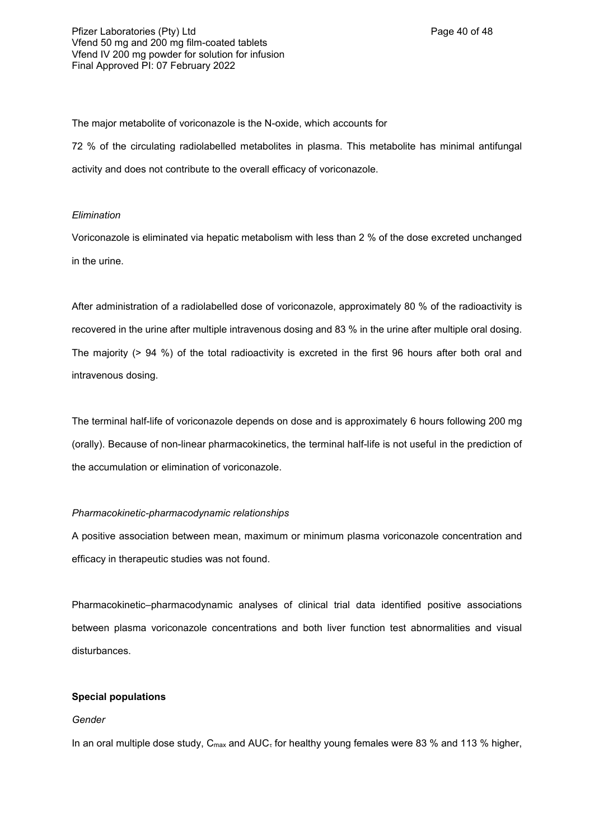### Pfizer Laboratories (Pty) Ltd **Philosopheratories** (Pty) Ltd **Page 40 of 48** Vfend 50 mg and 200 mg film-coated tablets Vfend IV 200 mg powder for solution for infusion Final Approved PI: 07 February 2022

The major metabolite of voriconazole is the N-oxide, which accounts for

72 % of the circulating radiolabelled metabolites in plasma. This metabolite has minimal antifungal activity and does not contribute to the overall efficacy of voriconazole.

## *Elimination*

Voriconazole is eliminated via hepatic metabolism with less than 2 % of the dose excreted unchanged in the urine.

After administration of a radiolabelled dose of voriconazole, approximately 80 % of the radioactivity is recovered in the urine after multiple intravenous dosing and 83 % in the urine after multiple oral dosing. The majority (> 94 %) of the total radioactivity is excreted in the first 96 hours after both oral and intravenous dosing.

The terminal half-life of voriconazole depends on dose and is approximately 6 hours following 200 mg (orally). Because of non-linear pharmacokinetics, the terminal half-life is not useful in the prediction of the accumulation or elimination of voriconazole.

## *Pharmacokinetic-pharmacodynamic relationships*

A positive association between mean, maximum or minimum plasma voriconazole concentration and efficacy in therapeutic studies was not found.

Pharmacokinetic–pharmacodynamic analyses of clinical trial data identified positive associations between plasma voriconazole concentrations and both liver function test abnormalities and visual disturbances.

## **Special populations**

## *Gender*

In an oral multiple dose study,  $C_{\text{max}}$  and  $AUC_{\tau}$  for healthy young females were 83 % and 113 % higher,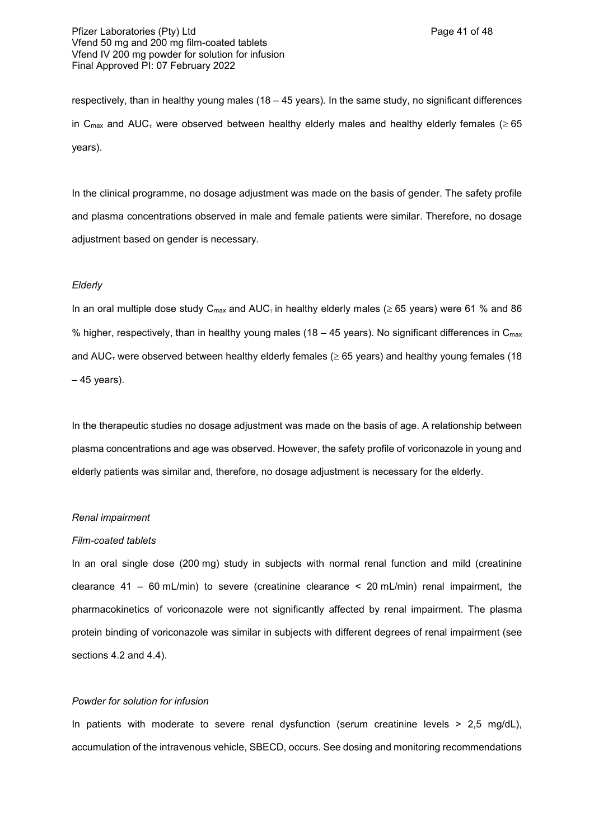respectively, than in healthy young males (18 – 45 years)*.* In the same study, no significant differences in C<sub>max</sub> and AUC<sub>t</sub> were observed between healthy elderly males and healthy elderly females ( $\geq 65$ ) years).

In the clinical programme, no dosage adjustment was made on the basis of gender. The safety profile and plasma concentrations observed in male and female patients were similar. Therefore, no dosage adjustment based on gender is necessary.

#### *Elderly*

In an oral multiple dose study  $C_{\text{max}}$  and AUC<sub><sup>t</sub></sup> in healthy elderly males ( $\geq 65$  years) were 61 % and 86</sub> % higher, respectively, than in healthy young males (18 – 45 years). No significant differences in  $C_{\text{max}}$ and AUC<sub> $\tau$ </sub> were observed between healthy elderly females ( $\geq$  65 years) and healthy young females (18  $-45$  years).

In the therapeutic studies no dosage adjustment was made on the basis of age. A relationship between plasma concentrations and age was observed. However, the safety profile of voriconazole in young and elderly patients was similar and, therefore, no dosage adjustment is necessary for the elderly.

#### *Renal impairment*

#### *Film-coated tablets*

In an oral single dose (200 mg) study in subjects with normal renal function and mild (creatinine clearance  $41 - 60$  mL/min) to severe (creatinine clearance  $\leq 20$  mL/min) renal impairment, the pharmacokinetics of voriconazole were not significantly affected by renal impairment. The plasma protein binding of voriconazole was similar in subjects with different degrees of renal impairment (see sections 4.2 and 4.4).

## *Powder for solution for infusion*

In patients with moderate to severe renal dysfunction (serum creatinine levels  $> 2.5$  mg/dL), accumulation of the intravenous vehicle, SBECD, occurs. See dosing and monitoring recommendations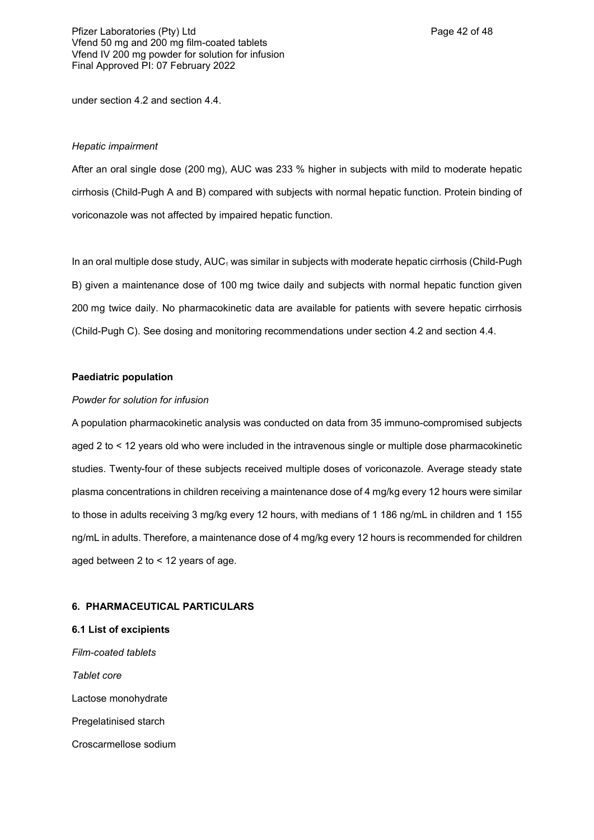under section 4.2 and section 4.4.

### *Hepatic impairment*

After an oral single dose (200 mg), AUC was 233 % higher in subjects with mild to moderate hepatic cirrhosis (Child-Pugh A and B) compared with subjects with normal hepatic function. Protein binding of voriconazole was not affected by impaired hepatic function.

In an oral multiple dose study,  $AUC<sub>\tau</sub>$  was similar in subjects with moderate hepatic cirrhosis (Child-Pugh B) given a maintenance dose of 100 mg twice daily and subjects with normal hepatic function given 200 mg twice daily. No pharmacokinetic data are available for patients with severe hepatic cirrhosis (Child-Pugh C). See dosing and monitoring recommendations under section 4.2 and section 4.4.

## **Paediatric population**

### *Powder for solution for infusion*

A population pharmacokinetic analysis was conducted on data from 35 immuno-compromised subjects aged 2 to < 12 years old who were included in the intravenous single or multiple dose pharmacokinetic studies. Twenty-four of these subjects received multiple doses of voriconazole. Average steady state plasma concentrations in children receiving a maintenance dose of 4 mg/kg every 12 hours were similar to those in adults receiving 3 mg/kg every 12 hours, with medians of 1 186 ng/mL in children and 1 155 ng/mL in adults. Therefore, a maintenance dose of 4 mg/kg every 12 hours is recommended for children aged between 2 to < 12 years of age.

## **6. PHARMACEUTICAL PARTICULARS**

**6.1 List of excipients** *Film-coated tablets Tablet core* Lactose monohydrate Pregelatinised starch Croscarmellose sodium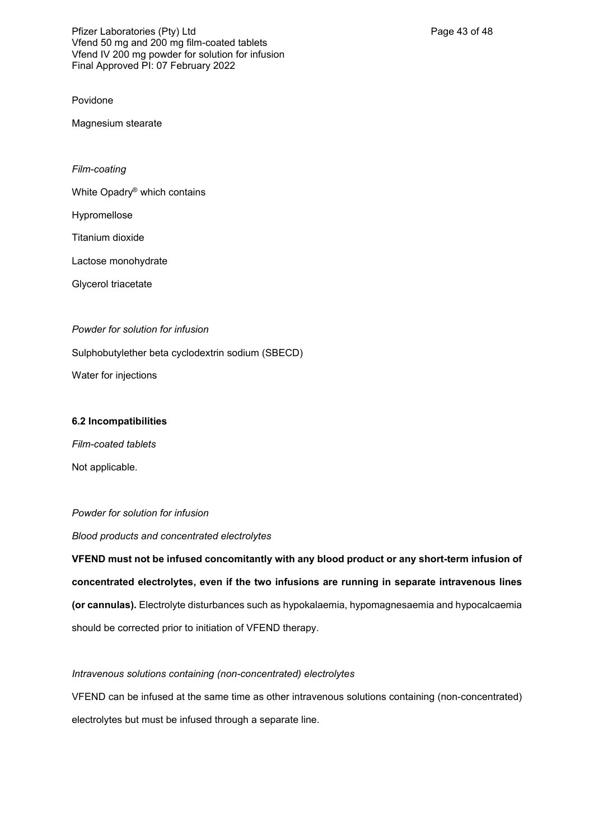Povidone

Magnesium stearate

*Film-coating*

White Opadry® which contains

Hypromellose

Titanium dioxide

Lactose monohydrate

Glycerol triacetate

*Powder for solution for infusion*

Sulphobutylether beta cyclodextrin sodium (SBECD)

Water for injections

## **6.2 Incompatibilities**

*Film-coated tablets* Not applicable.

## *Powder for solution for infusion*

*Blood products and concentrated electrolytes*

**VFEND must not be infused concomitantly with any blood product or any short-term infusion of concentrated electrolytes, even if the two infusions are running in separate intravenous lines (or cannulas).** Electrolyte disturbances such as hypokalaemia, hypomagnesaemia and hypocalcaemia should be corrected prior to initiation of VFEND therapy.

## *Intravenous solutions containing (non-concentrated) electrolytes*

VFEND can be infused at the same time as other intravenous solutions containing (non-concentrated) electrolytes but must be infused through a separate line.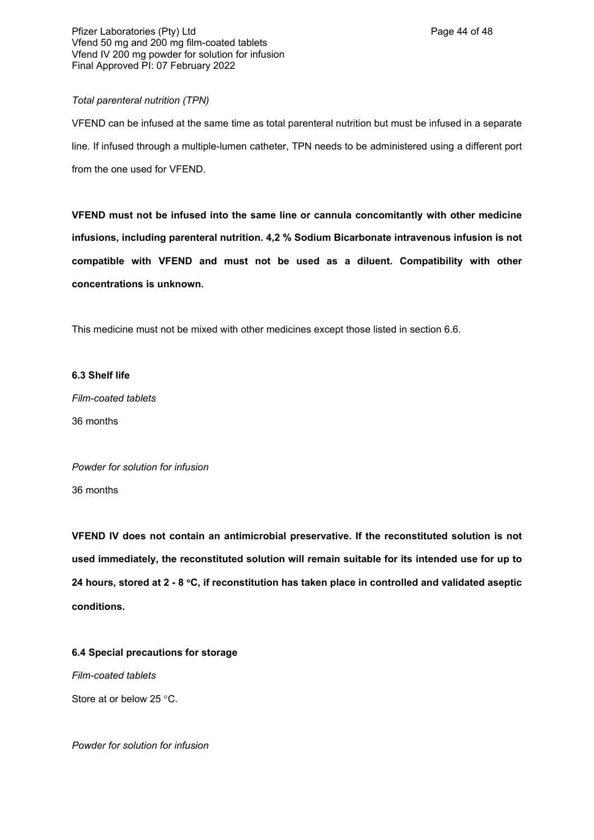## *Total parenteral nutrition (TPN)*

VFEND can be infused at the same time as total parenteral nutrition but must be infused in a separate line. If infused through a multiple-lumen catheter, TPN needs to be administered using a different port from the one used for VFEND.

**VFEND must not be infused into the same line or cannula concomitantly with other medicine infusions, including parenteral nutrition. 4,2 % Sodium Bicarbonate intravenous infusion is not compatible with VFEND and must not be used as a diluent. Compatibility with other concentrations is unknown.** 

This medicine must not be mixed with other medicines except those listed in section 6.6.

# **6.3 Shelf life**

*Film-coated tablets* 36 months

*Powder for solution for infusion* 36 months

**VFEND IV does not contain an antimicrobial preservative. If the reconstituted solution is not used immediately, the reconstituted solution will remain suitable for its intended use for up to 24 hours, stored at 2 - 8 C, if reconstitution has taken place in controlled and validated aseptic conditions.**

**6.4 Special precautions for storage**

*Film-coated tablets* Store at or below 25 °C.

*Powder for solution for infusion*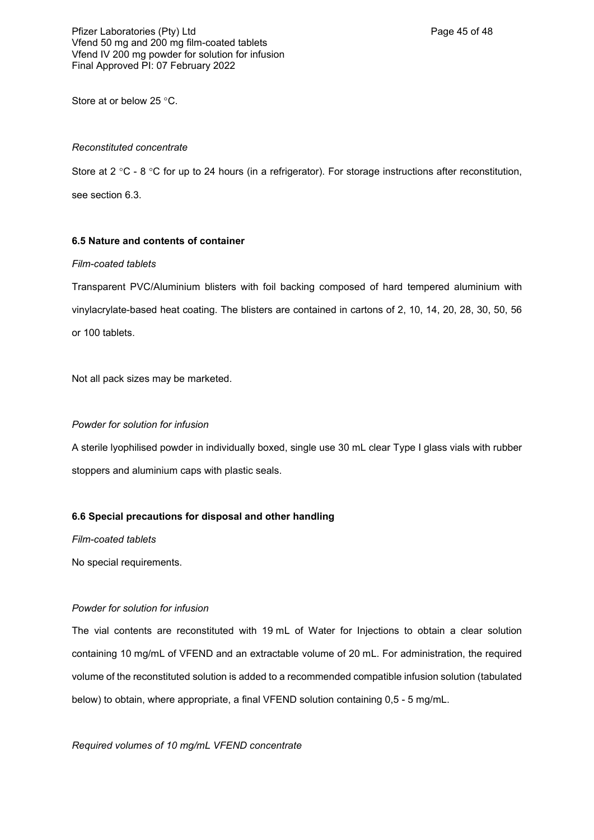Pfizer Laboratories (Pty) Ltd **Philosopheratories** (Pty) Ltd **Page 45 of 48** Vfend 50 mg and 200 mg film-coated tablets Vfend IV 200 mg powder for solution for infusion Final Approved PI: 07 February 2022

Store at or below 25 °C.

#### *Reconstituted concentrate*

Store at 2 °C - 8 °C for up to 24 hours (in a refrigerator). For storage instructions after reconstitution, see section 6.3.

### **6.5 Nature and contents of container**

#### *Film-coated tablets*

Transparent PVC/Aluminium blisters with foil backing composed of hard tempered aluminium with vinylacrylate-based heat coating. The blisters are contained in cartons of 2, 10, 14, 20, 28, 30, 50, 56 or 100 tablets.

Not all pack sizes may be marketed.

#### *Powder for solution for infusion*

A sterile lyophilised powder in individually boxed, single use 30 mL clear Type I glass vials with rubber stoppers and aluminium caps with plastic seals.

#### **6.6 Special precautions for disposal and other handling**

*Film-coated tablets*

No special requirements.

## *Powder for solution for infusion*

The vial contents are reconstituted with 19 mL of Water for Injections to obtain a clear solution containing 10 mg/mL of VFEND and an extractable volume of 20 mL. For administration, the required volume of the reconstituted solution is added to a recommended compatible infusion solution (tabulated below) to obtain, where appropriate, a final VFEND solution containing 0,5 - 5 mg/mL.

*Required volumes of 10 mg/mL VFEND concentrate*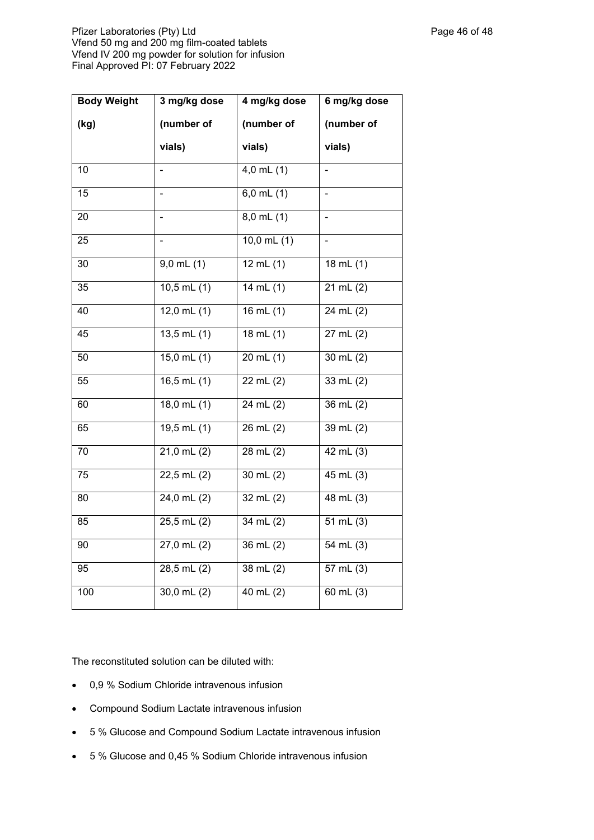Pfizer Laboratories (Pty) Ltd **Philosopheratories** (Pty) Ltd **Page 46 of 48** Vfend 50 mg and 200 mg film-coated tablets Vfend IV 200 mg powder for solution for infusion Final Approved PI: 07 February 2022

| <b>Body Weight</b> | 3 mg/kg dose             | 4 mg/kg dose        | 6 mg/kg dose            |
|--------------------|--------------------------|---------------------|-------------------------|
| (kg)               | (number of               | (number of          | (number of              |
|                    | vials)                   | vials)              | vials)                  |
| 10                 |                          | $4,0$ mL $(1)$      |                         |
| 15                 |                          | $6,0$ mL $(1)$      |                         |
| 20                 |                          | $8,0$ mL $(1)$      |                         |
| 25                 |                          | $10,0$ mL $(1)$     |                         |
| 30                 | $9,0$ mL $(1)$           | 12 mL(1)            | 18 $mL(1)$              |
| 35                 | $10,5$ mL $(1)$          | 14 mL $(1)$         | $21 \text{ mL}$ (2)     |
| 40                 | 12,0 mL $(1)$            | 16 mL $(1)$         | 24 mL(2)                |
| 45                 | $13,5$ mL $(1)$          | $18$ mL $(1)$       | $27$ mL $(2)$           |
| 50                 | $15,0$ mL $(1)$          | $20$ mL $(1)$       | $30$ mL $(2)$           |
| 55                 | $16, 5$ mL $(1)$         | $22$ mL $(2)$       | $33$ mL $(2)$           |
| 60                 | $18,0 \text{ mL} (1)$    | 24 mL(2)            | $36$ mL $(2)$           |
| 65                 | $19,5 \,\mathrm{mL}$ (1) | $26 \text{ mL} (2)$ | 39 mL $(2)$             |
| $\overline{70}$    | $21,0 \text{ mL} (2)$    | $28$ mL $(2)$       | $42$ mL $(3)$           |
| 75                 | 22,5 mL (2)              | 30 mL $(2)$         | 45 mL (3)               |
| 80                 | $24,0$ mL $(2)$          | 32 mL(2)            | $48$ mL $(3)$           |
| 85                 | $25,5$ mL $(2)$          | 34 mL(2)            | $51$ mL $(3)$           |
| $\overline{90}$    | $27,0$ mL $(2)$          | $36 \text{ mL} (2)$ | $\frac{1}{54}$ mL $(3)$ |
| 95                 | $28,5$ mL $(2)$          | $38$ mL $(2)$       | $57$ mL $(3)$           |
| $\overline{100}$   | $30,0 \text{ mL} (2)$    | $40$ mL $(2)$       | $60$ mL $(3)$           |

The reconstituted solution can be diluted with:

- 0,9 % Sodium Chloride intravenous infusion
- Compound Sodium Lactate intravenous infusion
- 5 % Glucose and Compound Sodium Lactate intravenous infusion
- 5 % Glucose and 0,45 % Sodium Chloride intravenous infusion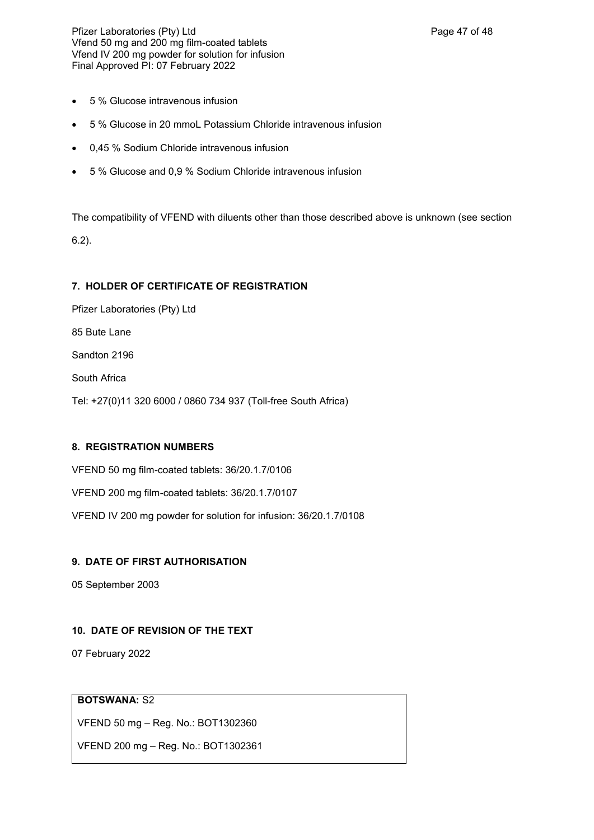Pfizer Laboratories (Pty) Ltd **Philosophysis and Page 47 of 48** Vfend 50 mg and 200 mg film-coated tablets Vfend IV 200 mg powder for solution for infusion Final Approved PI: 07 February 2022

- 5 % Glucose intravenous infusion
- 5 % Glucose in 20 mmoL Potassium Chloride intravenous infusion
- 0,45 % Sodium Chloride intravenous infusion
- 5 % Glucose and 0,9 % Sodium Chloride intravenous infusion

The compatibility of VFEND with diluents other than those described above is unknown (see section 6.2).

# **7. HOLDER OF CERTIFICATE OF REGISTRATION**

Pfizer Laboratories (Pty) Ltd

85 Bute Lane

Sandton 2196

South Africa

Tel: +27(0)11 320 6000 / 0860 734 937 (Toll-free South Africa)

## **8. REGISTRATION NUMBERS**

VFEND 50 mg film-coated tablets: 36/20.1.7/0106

VFEND 200 mg film-coated tablets: 36/20.1.7/0107

VFEND IV 200 mg powder for solution for infusion: 36/20.1.7/0108

# **9. DATE OF FIRST AUTHORISATION**

05 September 2003

# **10. DATE OF REVISION OF THE TEXT**

07 February 2022

# **BOTSWANA:** S2

VFEND 50 mg – Reg. No.: BOT1302360

VFEND 200 mg – Reg. No.: BOT1302361